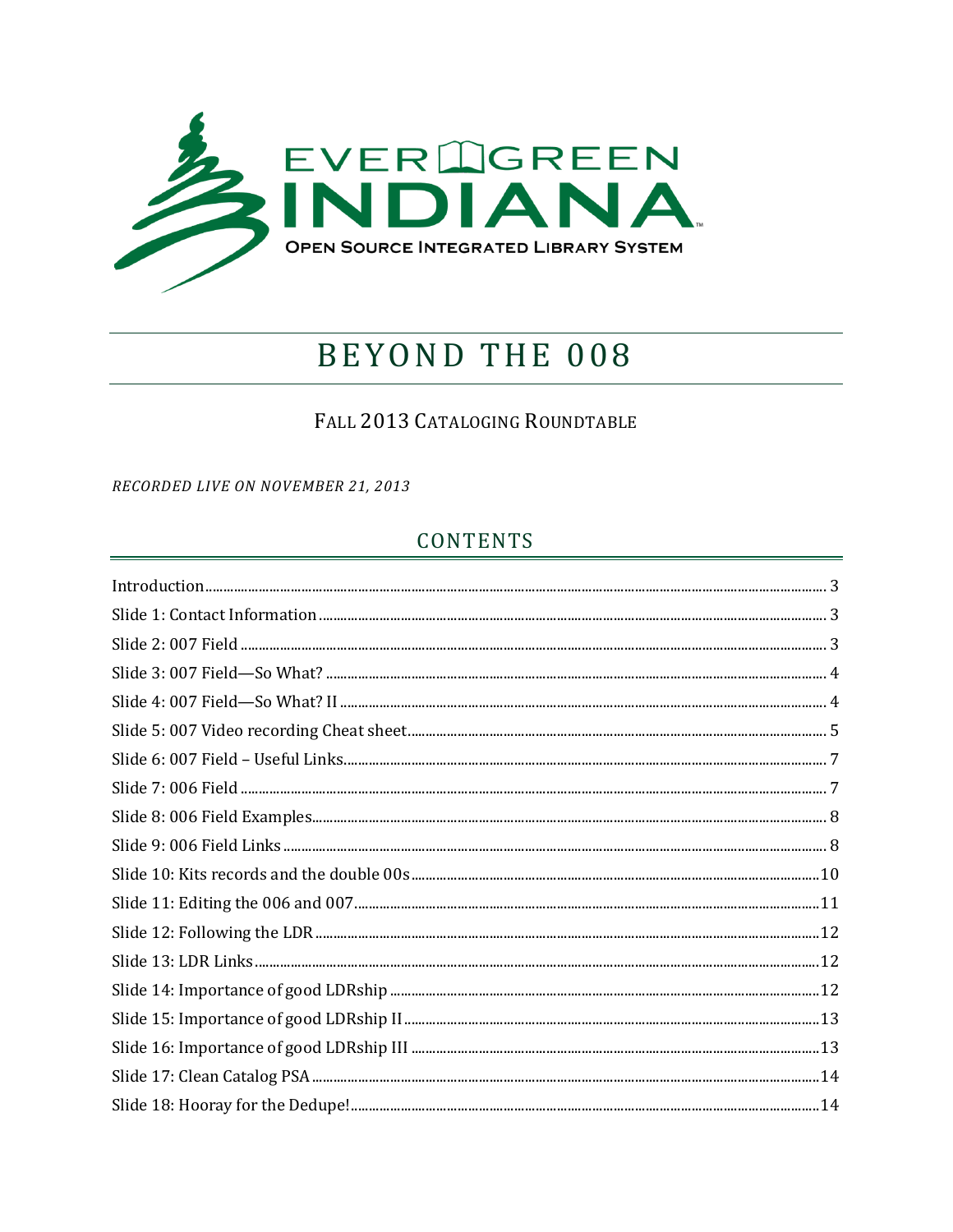

# **BEYOND THE 008**

### FALL 2013 CATALOGING ROUNDTABLE

RECORDED LIVE ON NOVEMBER 21, 2013

# **CONTENTS**

| $\label{eq:1} Introduction. 3$ |
|--------------------------------|
|                                |
|                                |
|                                |
|                                |
|                                |
|                                |
|                                |
|                                |
|                                |
|                                |
|                                |
|                                |
|                                |
|                                |
|                                |
|                                |
|                                |
|                                |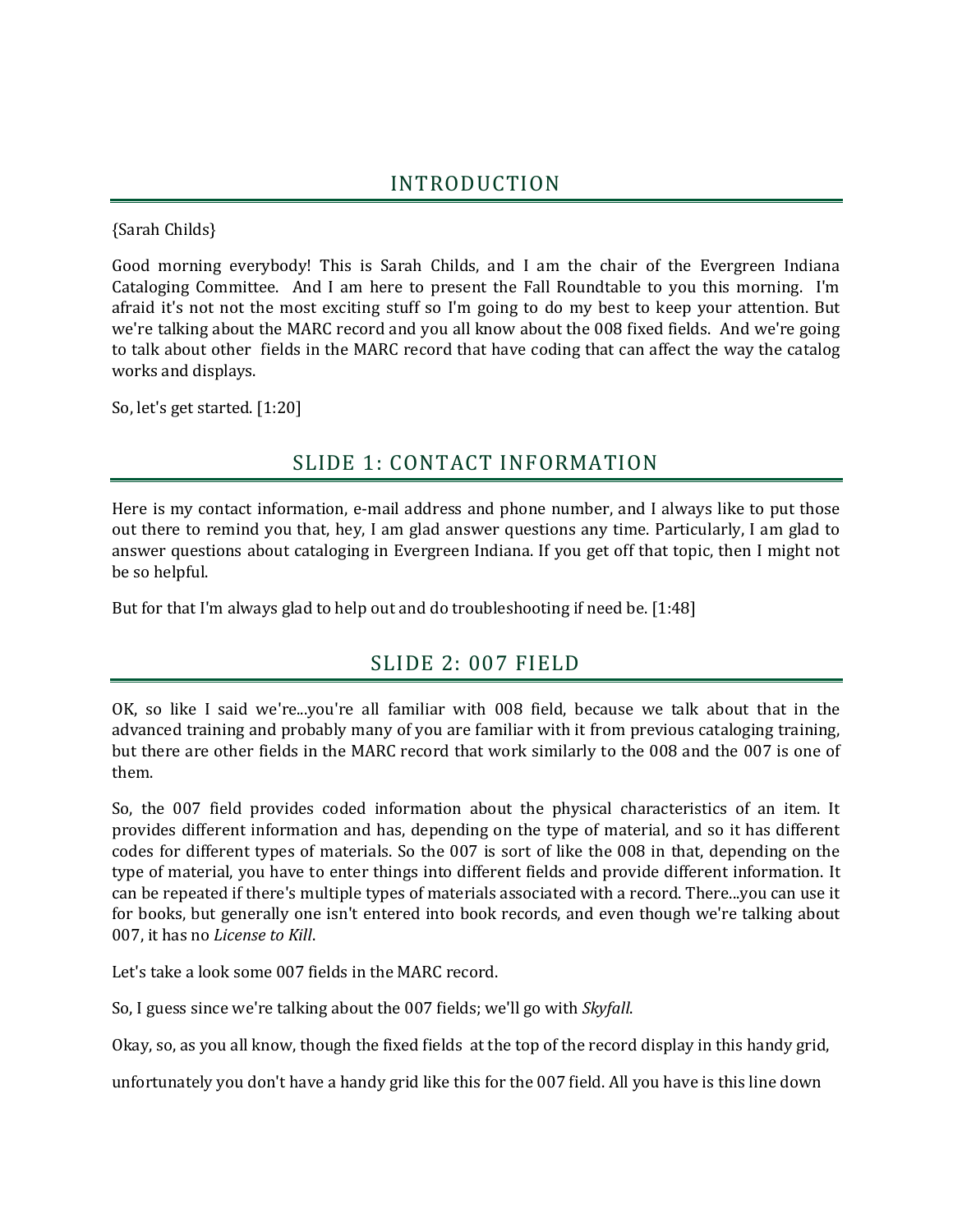### INTRODUCTION

<span id="page-2-0"></span>{Sarah Childs}

Good morning everybody! This is Sarah Childs, and I am the chair of the Evergreen Indiana Cataloging Committee. And I am here to present the Fall Roundtable to you this morning. I'm afraid it's not not the most exciting stuff so I'm going to do my best to keep your attention. But we're talking about the MARC record and you all know about the 008 fixed fields. And we're going to talk about other fields in the MARC record that have coding that can affect the way the catalog works and displays.

<span id="page-2-1"></span>So, let's get started. [1:20]

### SLIDE 1: CONTACT INFORMATION

Here is my contact information, e-mail address and phone number, and I always like to put those out there to remind you that, hey, I am glad answer questions any time. Particularly, I am glad to answer questions about cataloging in Evergreen Indiana. If you get off that topic, then I might not be so helpful.

<span id="page-2-2"></span>But for that I'm always glad to help out and do troubleshooting if need be. [1:48]

### SLIDE 2: 007 FIELD

OK, so like I said we're...you're all familiar with 008 field, because we talk about that in the advanced training and probably many of you are familiar with it from previous cataloging training, but there are other fields in the MARC record that work similarly to the 008 and the 007 is one of them.

So, the 007 field provides coded information about the physical characteristics of an item. It provides different information and has, depending on the type of material, and so it has different codes for different types of materials. So the 007 is sort of like the 008 in that, depending on the type of material, you have to enter things into different fields and provide different information. It can be repeated if there's multiple types of materials associated with a record. There...you can use it for books, but generally one isn't entered into book records, and even though we're talking about 007, it has no *License to Kill*.

Let's take a look some 007 fields in the MARC record.

So, I guess since we're talking about the 007 fields; we'll go with *Skyfall*.

Okay, so, as you all know, though the fixed fields at the top of the record display in this handy grid,

unfortunately you don't have a handy grid like this for the 007 field. All you have is this line down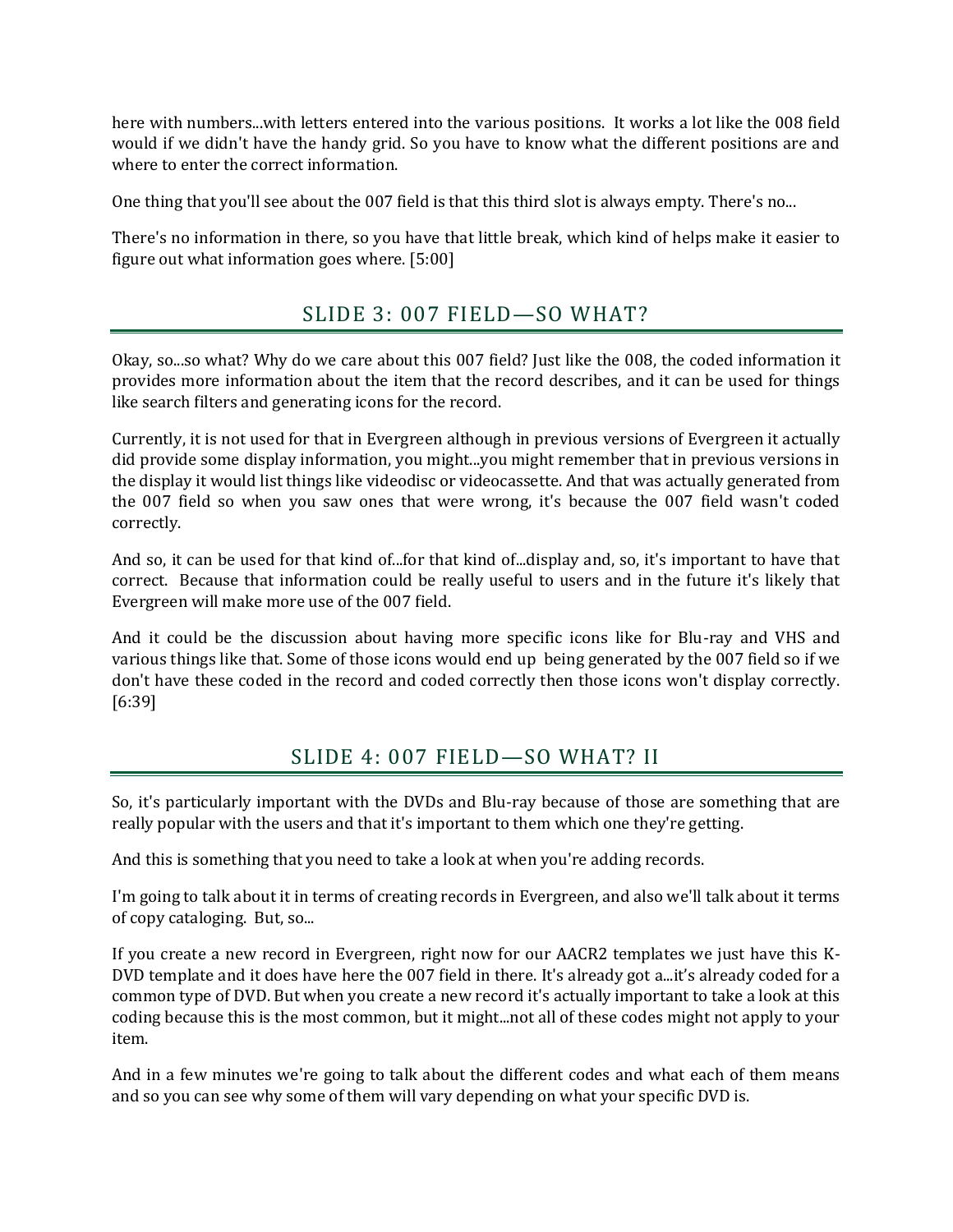here with numbers...with letters entered into the various positions. It works a lot like the 008 field would if we didn't have the handy grid. So you have to know what the different positions are and where to enter the correct information.

One thing that you'll see about the 007 field is that this third slot is always empty. There's no...

<span id="page-3-0"></span>There's no information in there, so you have that little break, which kind of helps make it easier to figure out what information goes where. [5:00]

# SLIDE 3: 007 FIELD—SO WHAT?

Okay, so...so what? Why do we care about this 007 field? Just like the 008, the coded information it provides more information about the item that the record describes, and it can be used for things like search filters and generating icons for the record.

Currently, it is not used for that in Evergreen although in previous versions of Evergreen it actually did provide some display information, you might...you might remember that in previous versions in the display it would list things like videodisc or videocassette. And that was actually generated from the 007 field so when you saw ones that were wrong, it's because the 007 field wasn't coded correctly.

And so, it can be used for that kind of...for that kind of...display and, so, it's important to have that correct. Because that information could be really useful to users and in the future it's likely that Evergreen will make more use of the 007 field.

And it could be the discussion about having more specific icons like for Blu-ray and VHS and various things like that. Some of those icons would end up being generated by the 007 field so if we don't have these coded in the record and coded correctly then those icons won't display correctly. [6:39]

### SLIDE 4: 007 FIELD—SO WHAT? II

<span id="page-3-1"></span>So, it's particularly important with the DVDs and Blu-ray because of those are something that are really popular with the users and that it's important to them which one they're getting.

And this is something that you need to take a look at when you're adding records.

I'm going to talk about it in terms of creating records in Evergreen, and also we'll talk about it terms of copy cataloging. But, so...

If you create a new record in Evergreen, right now for our AACR2 templates we just have this K-DVD template and it does have here the 007 field in there. It's already got a...it's already coded for a common type of DVD. But when you create a new record it's actually important to take a look at this coding because this is the most common, but it might...not all of these codes might not apply to your item.

And in a few minutes we're going to talk about the different codes and what each of them means and so you can see why some of them will vary depending on what your specific DVD is.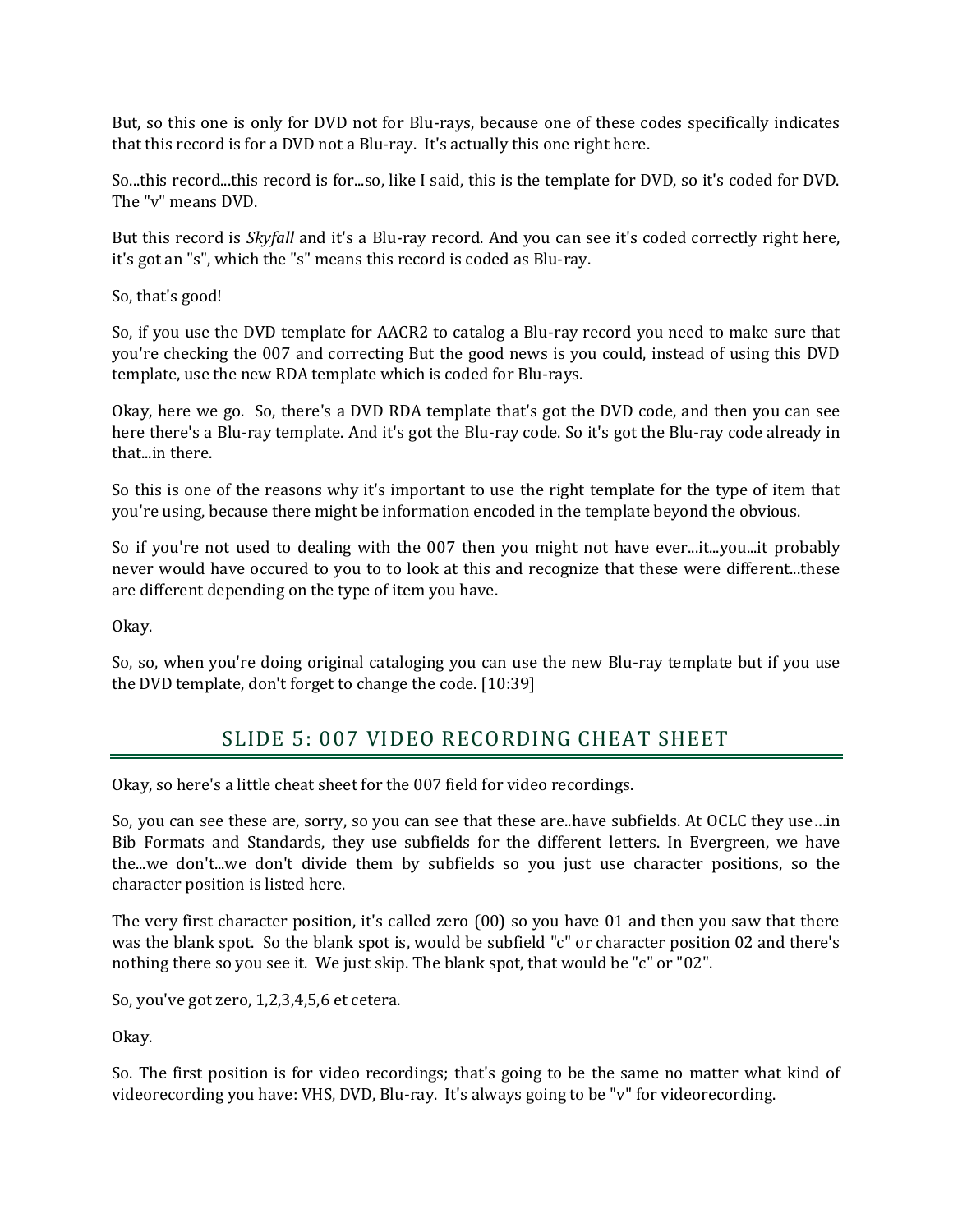But, so this one is only for DVD not for Blu-rays, because one of these codes specifically indicates that this record is for a DVD not a Blu-ray. It's actually this one right here.

So...this record...this record is for...so, like I said, this is the template for DVD, so it's coded for DVD. The "v" means DVD.

But this record is *Skyfall* and it's a Blu-ray record. And you can see it's coded correctly right here, it's got an "s", which the "s" means this record is coded as Blu-ray.

So, that's good!

So, if you use the DVD template for AACR2 to catalog a Blu-ray record you need to make sure that you're checking the 007 and correcting But the good news is you could, instead of using this DVD template, use the new RDA template which is coded for Blu-rays.

Okay, here we go. So, there's a DVD RDA template that's got the DVD code, and then you can see here there's a Blu-ray template. And it's got the Blu-ray code. So it's got the Blu-ray code already in that...in there.

So this is one of the reasons why it's important to use the right template for the type of item that you're using, because there might be information encoded in the template beyond the obvious.

So if you're not used to dealing with the 007 then you might not have ever...it...you...it probably never would have occured to you to to look at this and recognize that these were different...these are different depending on the type of item you have.

Okay.

<span id="page-4-0"></span>So, so, when you're doing original cataloging you can use the new Blu-ray template but if you use the DVD template, don't forget to change the code. [10:39]

### SLIDE 5: 007 VIDEO RECORDING CHEAT SHEET

Okay, so here's a little cheat sheet for the 007 field for video recordings.

So, you can see these are, sorry, so you can see that these are..have subfields. At OCLC they use…in Bib Formats and Standards, they use subfields for the different letters. In Evergreen, we have the...we don't...we don't divide them by subfields so you just use character positions, so the character position is listed here.

The very first character position, it's called zero (00) so you have 01 and then you saw that there was the blank spot. So the blank spot is, would be subfield "c" or character position 02 and there's nothing there so you see it. We just skip. The blank spot, that would be "c" or "02".

So, you've got zero, 1,2,3,4,5,6 et cetera.

Okay.

So. The first position is for video recordings; that's going to be the same no matter what kind of videorecording you have: VHS, DVD, Blu-ray. It's always going to be "v" for videorecording.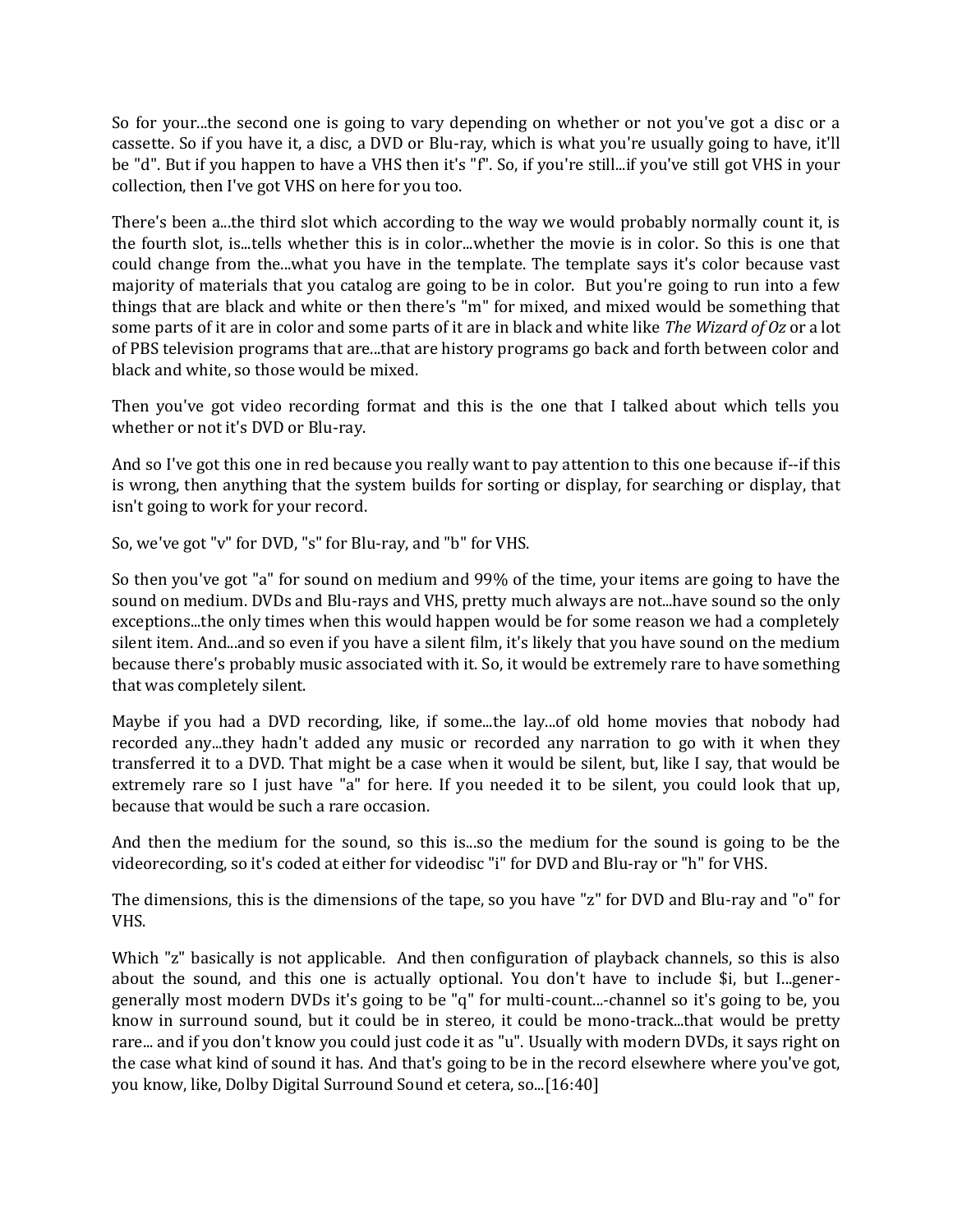So for your...the second one is going to vary depending on whether or not you've got a disc or a cassette. So if you have it, a disc, a DVD or Blu-ray, which is what you're usually going to have, it'll be "d". But if you happen to have a VHS then it's "f". So, if you're still...if you've still got VHS in your collection, then I've got VHS on here for you too.

There's been a...the third slot which according to the way we would probably normally count it, is the fourth slot, is...tells whether this is in color...whether the movie is in color. So this is one that could change from the...what you have in the template. The template says it's color because vast majority of materials that you catalog are going to be in color. But you're going to run into a few things that are black and white or then there's "m" for mixed, and mixed would be something that some parts of it are in color and some parts of it are in black and white like *The Wizard of Oz* or a lot of PBS television programs that are...that are history programs go back and forth between color and black and white, so those would be mixed.

Then you've got video recording format and this is the one that I talked about which tells you whether or not it's DVD or Blu-ray.

And so I've got this one in red because you really want to pay attention to this one because if--if this is wrong, then anything that the system builds for sorting or display, for searching or display, that isn't going to work for your record.

So, we've got "v" for DVD, "s" for Blu-ray, and "b" for VHS.

So then you've got "a" for sound on medium and 99% of the time, your items are going to have the sound on medium. DVDs and Blu-rays and VHS, pretty much always are not...have sound so the only exceptions...the only times when this would happen would be for some reason we had a completely silent item. And...and so even if you have a silent film, it's likely that you have sound on the medium because there's probably music associated with it. So, it would be extremely rare to have something that was completely silent.

Maybe if you had a DVD recording, like, if some...the lay...of old home movies that nobody had recorded any...they hadn't added any music or recorded any narration to go with it when they transferred it to a DVD. That might be a case when it would be silent, but, like I say, that would be extremely rare so I just have "a" for here. If you needed it to be silent, you could look that up, because that would be such a rare occasion.

And then the medium for the sound, so this is...so the medium for the sound is going to be the videorecording, so it's coded at either for videodisc "i" for DVD and Blu-ray or "h" for VHS.

The dimensions, this is the dimensions of the tape, so you have "z" for DVD and Blu-ray and "o" for VHS.

Which "z" basically is not applicable. And then configuration of playback channels, so this is also about the sound, and this one is actually optional. You don't have to include \$i, but I...genergenerally most modern DVDs it's going to be "q" for multi-count...-channel so it's going to be, you know in surround sound, but it could be in stereo, it could be mono-track...that would be pretty rare... and if you don't know you could just code it as "u". Usually with modern DVDs, it says right on the case what kind of sound it has. And that's going to be in the record elsewhere where you've got, you know, like, Dolby Digital Surround Sound et cetera, so...[16:40]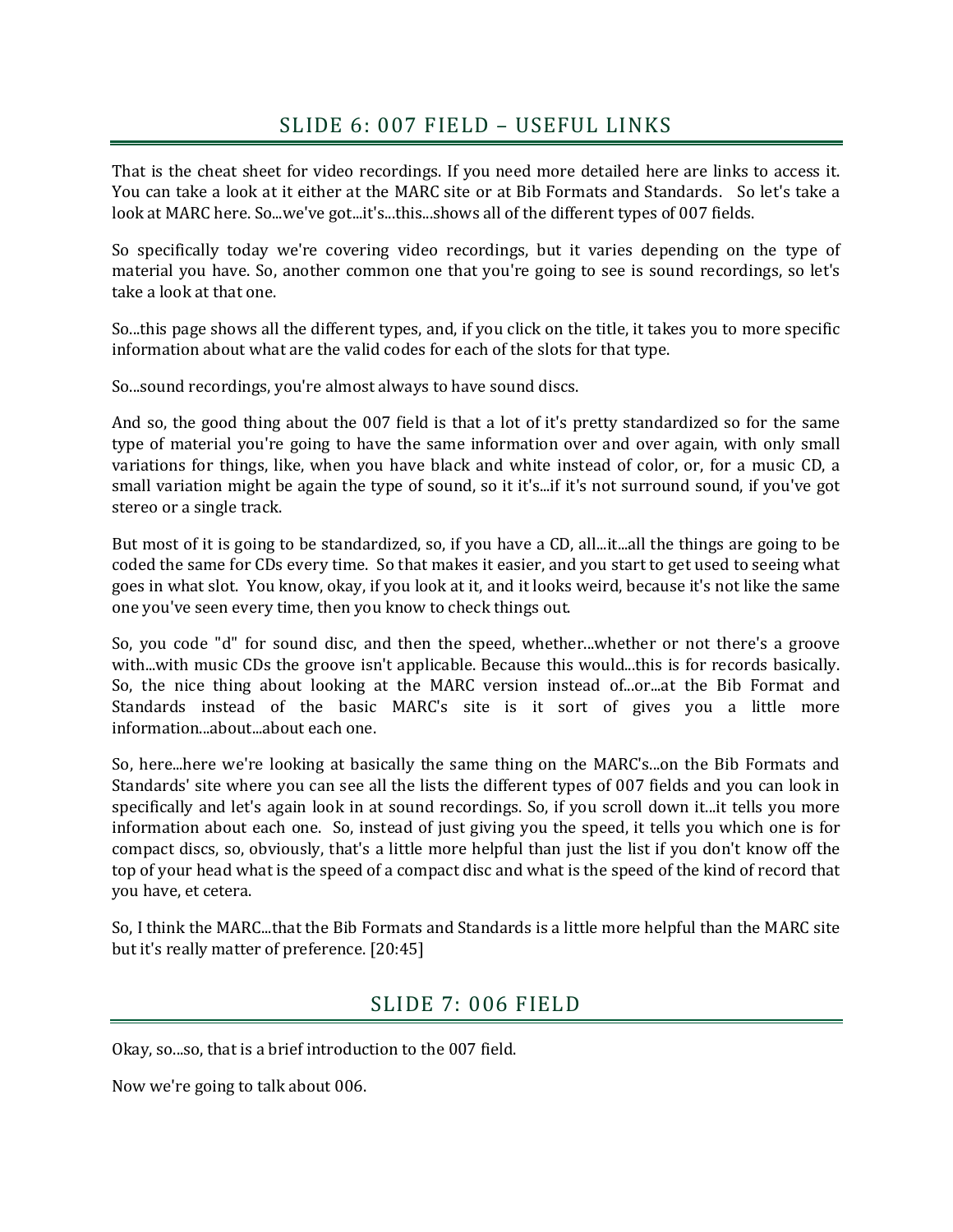<span id="page-6-0"></span>That is the cheat sheet for video recordings. If you need more detailed here are links to access it. You can take a look at it either at the MARC site or at Bib Formats and Standards. So let's take a look at MARC here. So ... we've got ... it's ... this ... shows all of the different types of 007 fields.

So specifically today we're covering video recordings, but it varies depending on the type of material you have. So, another common one that you're going to see is sound recordings, so let's take a look at that one.

So...this page shows all the different types, and, if you click on the title, it takes you to more specific information about what are the valid codes for each of the slots for that type.

So...sound recordings, you're almost always to have sound discs.

And so, the good thing about the 007 field is that a lot of it's pretty standardized so for the same type of material you're going to have the same information over and over again, with only small variations for things, like, when you have black and white instead of color, or, for a music CD, a small variation might be again the type of sound, so it it's...if it's not surround sound, if you've got stereo or a single track.

But most of it is going to be standardized, so, if you have a CD, all...it...all the things are going to be coded the same for CDs every time. So that makes it easier, and you start to get used to seeing what goes in what slot. You know, okay, if you look at it, and it looks weird, because it's not like the same one you've seen every time, then you know to check things out.

So, you code "d" for sound disc, and then the speed, whether...whether or not there's a groove with...with music CDs the groove isn't applicable. Because this would...this is for records basically. So, the nice thing about looking at the MARC version instead of...or...at the Bib Format and Standards instead of the basic MARC's site is it sort of gives you a little more information...about...about each one.

So, here...here we're looking at basically the same thing on the MARC's...on the Bib Formats and Standards' site where you can see all the lists the different types of 007 fields and you can look in specifically and let's again look in at sound recordings. So, if you scroll down it...it tells you more information about each one. So, instead of just giving you the speed, it tells you which one is for compact discs, so, obviously, that's a little more helpful than just the list if you don't know off the top of your head what is the speed of a compact disc and what is the speed of the kind of record that you have, et cetera.

<span id="page-6-1"></span>So, I think the MARC...that the Bib Formats and Standards is a little more helpful than the MARC site but it's really matter of preference. [20:45]

# SLIDE 7: 006 FIELD

Okay, so...so, that is a brief introduction to the 007 field.

Now we're going to talk about 006.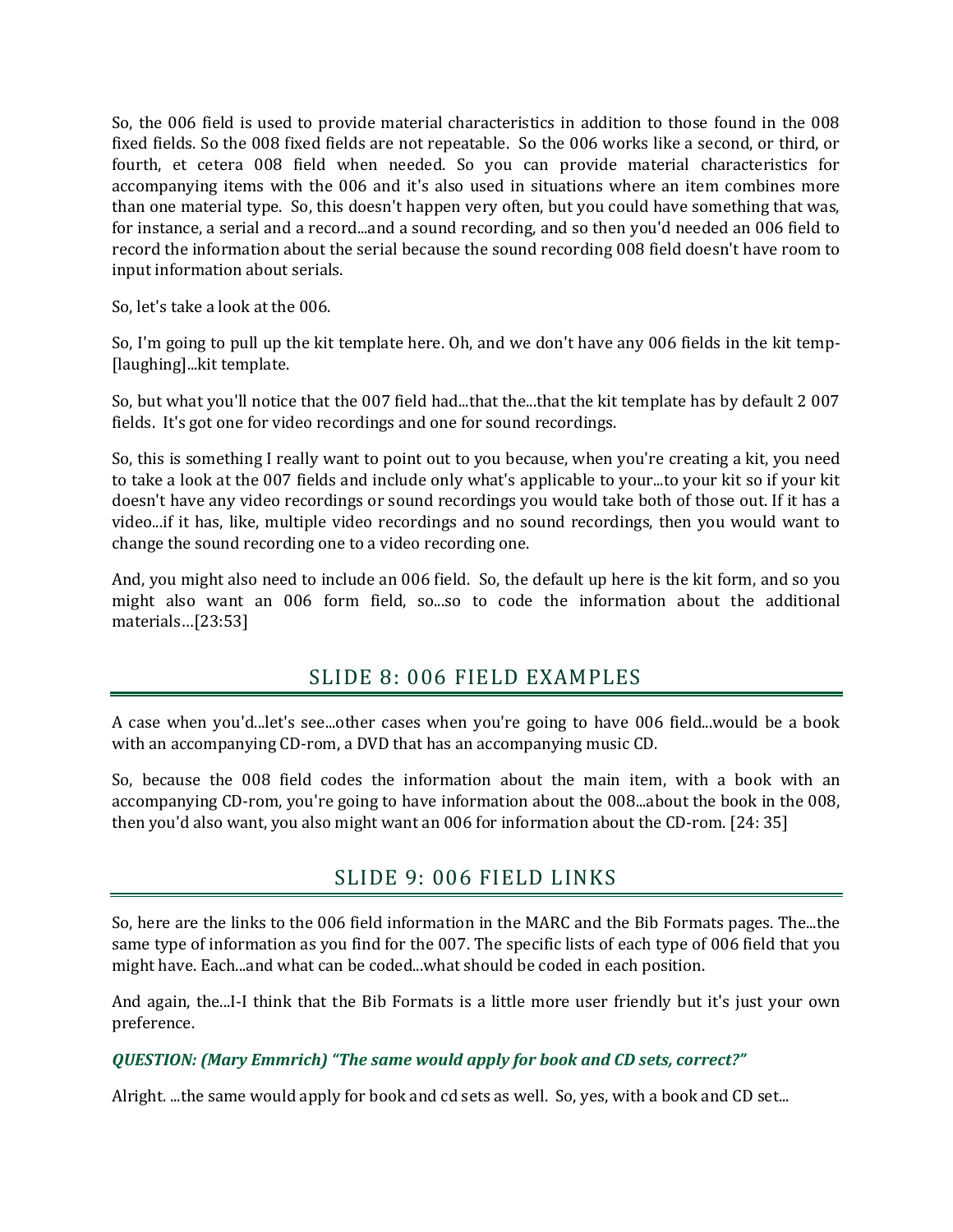So, the 006 field is used to provide material characteristics in addition to those found in the 008 fixed fields. So the 008 fixed fields are not repeatable. So the 006 works like a second, or third, or fourth, et cetera 008 field when needed. So you can provide material characteristics for accompanying items with the 006 and it's also used in situations where an item combines more than one material type. So, this doesn't happen very often, but you could have something that was, for instance, a serial and a record...and a sound recording, and so then you'd needed an 006 field to record the information about the serial because the sound recording 008 field doesn't have room to input information about serials.

So, let's take a look at the 006.

So, I'm going to pull up the kit template here. Oh, and we don't have any 006 fields in the kit temp- [laughing]...kit template.

So, but what you'll notice that the 007 field had...that the...that the kit template has by default 2 007 fields. It's got one for video recordings and one for sound recordings.

So, this is something I really want to point out to you because, when you're creating a kit, you need to take a look at the 007 fields and include only what's applicable to your...to your kit so if your kit doesn't have any video recordings or sound recordings you would take both of those out. If it has a video...if it has, like, multiple video recordings and no sound recordings, then you would want to change the sound recording one to a video recording one.

And, you might also need to include an 006 field. So, the default up here is the kit form, and so you might also want an 006 form field, so...so to code the information about the additional materials…[23:53]

### SLIDE 8: 006 FIELD EXAMPLES

<span id="page-7-0"></span>A case when you'd...let's see...other cases when you're going to have 006 field...would be a book with an accompanying CD-rom, a DVD that has an accompanying music CD.

So, because the 008 field codes the information about the main item, with a book with an accompanying CD-rom, you're going to have information about the 008...about the book in the 008, then you'd also want, you also might want an 006 for information about the CD-rom. [24: 35]

### SLIDE 9: 006 FIELD LINKS

<span id="page-7-1"></span>So, here are the links to the 006 field information in the MARC and the Bib Formats pages. The...the same type of information as you find for the 007. The specific lists of each type of 006 field that you might have. Each...and what can be coded...what should be coded in each position.

And again, the...I-I think that the Bib Formats is a little more user friendly but it's just your own preference.

#### *QUESTION: (Mary Emmrich) "The same would apply for book and CD sets, correct?"*

Alright. ...the same would apply for book and cd sets as well. So, yes, with a book and CD set...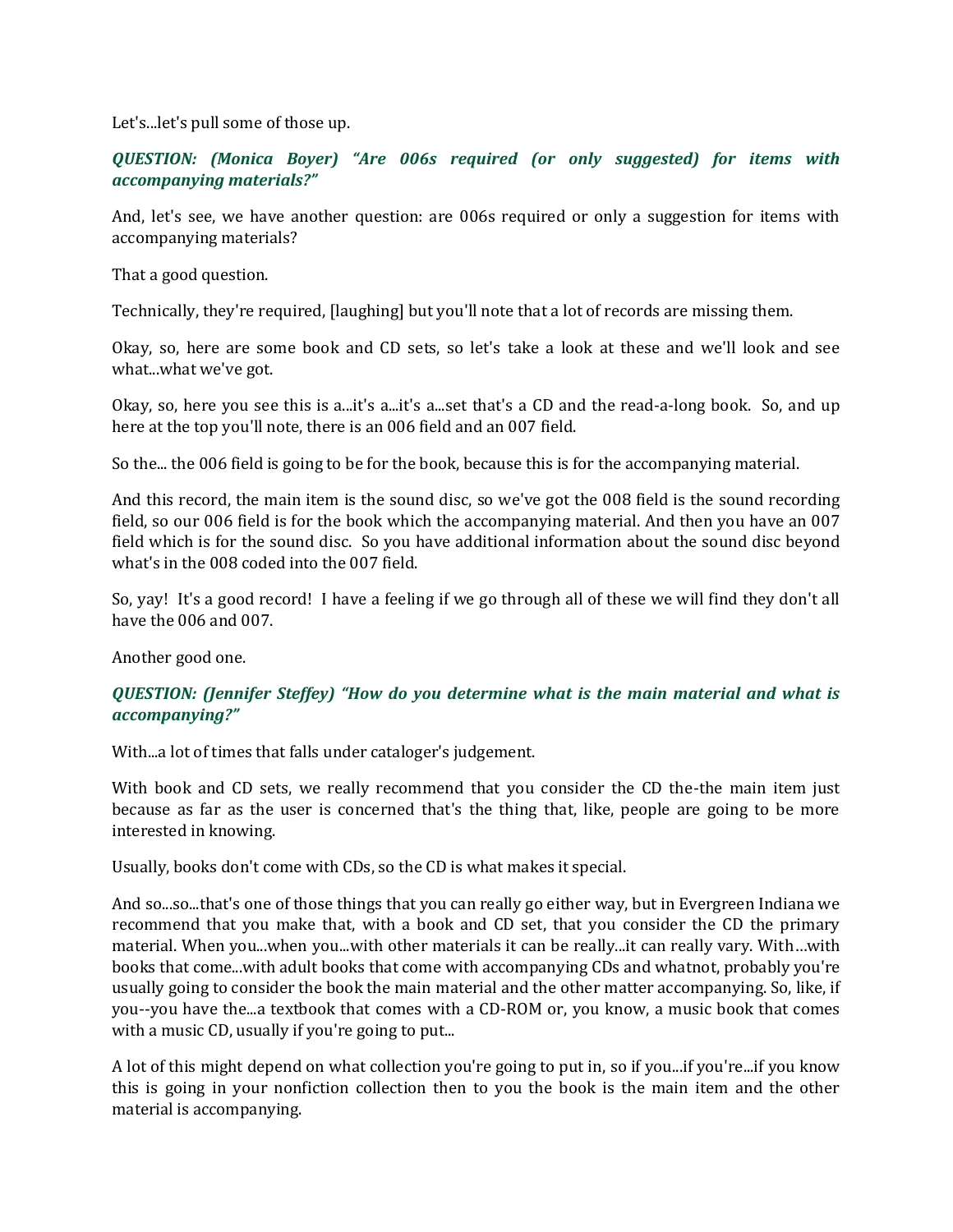Let's...let's pull some of those up.

*QUESTION: (Monica Boyer) "Are 006s required (or only suggested) for items with accompanying materials?"*

And, let's see, we have another question: are 006s required or only a suggestion for items with accompanying materials?

That a good question.

Technically, they're required, [laughing] but you'll note that a lot of records are missing them.

Okay, so, here are some book and CD sets, so let's take a look at these and we'll look and see what...what we've got.

Okay, so, here you see this is a...it's a...it's a...set that's a CD and the read-a-long book. So, and up here at the top you'll note, there is an 006 field and an 007 field.

So the... the 006 field is going to be for the book, because this is for the accompanying material.

And this record, the main item is the sound disc, so we've got the 008 field is the sound recording field, so our 006 field is for the book which the accompanying material. And then you have an 007 field which is for the sound disc. So you have additional information about the sound disc beyond what's in the 008 coded into the 007 field.

So, yay! It's a good record! I have a feeling if we go through all of these we will find they don't all have the 006 and 007.

Another good one.

#### *QUESTION: (Jennifer Steffey) "How do you determine what is the main material and what is accompanying?"*

With...a lot of times that falls under cataloger's judgement.

With book and CD sets, we really recommend that you consider the CD the-the main item just because as far as the user is concerned that's the thing that, like, people are going to be more interested in knowing.

Usually, books don't come with CDs, so the CD is what makes it special.

And so...so...that's one of those things that you can really go either way, but in Evergreen Indiana we recommend that you make that, with a book and CD set, that you consider the CD the primary material. When you...when you...with other materials it can be really...it can really vary. With…with books that come...with adult books that come with accompanying CDs and whatnot, probably you're usually going to consider the book the main material and the other matter accompanying. So, like, if you--you have the...a textbook that comes with a CD-ROM or, you know, a music book that comes with a music CD, usually if you're going to put...

A lot of this might depend on what collection you're going to put in, so if you...if you're...if you know this is going in your nonfiction collection then to you the book is the main item and the other material is accompanying.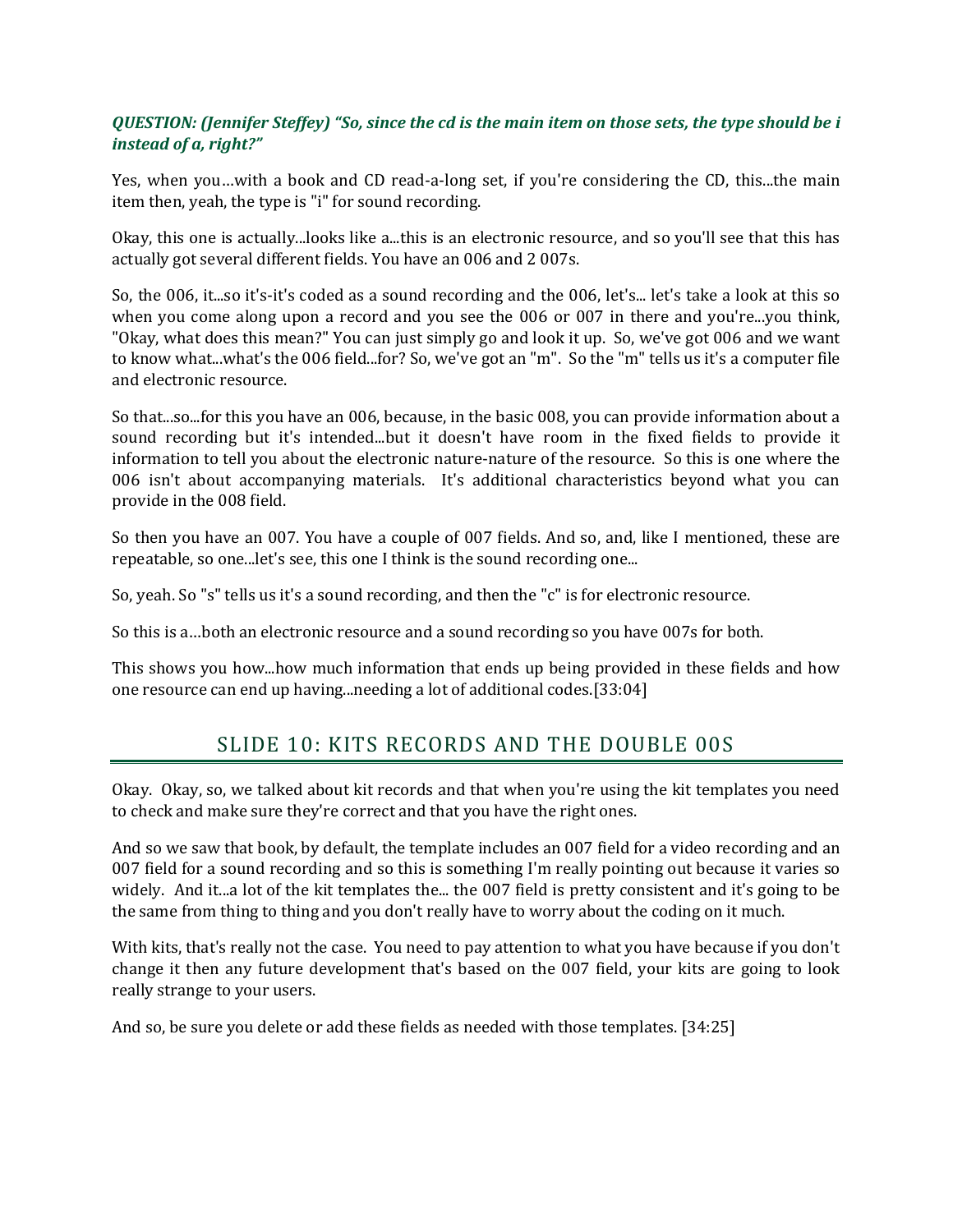### *QUESTION: (Jennifer Steffey) "So, since the cd is the main item on those sets, the type should be i instead of a, right?"*

Yes, when you…with a book and CD read-a-long set, if you're considering the CD, this...the main item then, yeah, the type is "i" for sound recording.

Okay, this one is actually...looks like a...this is an electronic resource, and so you'll see that this has actually got several different fields. You have an 006 and 2 007s.

So, the 006, it...so it's-it's coded as a sound recording and the 006, let's... let's take a look at this so when you come along upon a record and you see the 006 or 007 in there and you're...you think, "Okay, what does this mean?" You can just simply go and look it up. So, we've got 006 and we want to know what...what's the 006 field...for? So, we've got an "m". So the "m" tells us it's a computer file and electronic resource.

So that...so...for this you have an 006, because, in the basic 008, you can provide information about a sound recording but it's intended...but it doesn't have room in the fixed fields to provide it information to tell you about the electronic nature-nature of the resource. So this is one where the 006 isn't about accompanying materials. It's additional characteristics beyond what you can provide in the 008 field.

So then you have an 007. You have a couple of 007 fields. And so, and, like I mentioned, these are repeatable, so one...let's see, this one I think is the sound recording one...

So, yeah. So "s" tells us it's a sound recording, and then the "c" is for electronic resource.

So this is a…both an electronic resource and a sound recording so you have 007s for both.

<span id="page-9-0"></span>This shows you how...how much information that ends up being provided in these fields and how one resource can end up having...needing a lot of additional codes.[33:04]

# SLIDE 10: KITS RECORDS AND THE DOUBLE 00S

Okay. Okay, so, we talked about kit records and that when you're using the kit templates you need to check and make sure they're correct and that you have the right ones.

And so we saw that book, by default, the template includes an 007 field for a video recording and an 007 field for a sound recording and so this is something I'm really pointing out because it varies so widely. And it...a lot of the kit templates the... the 007 field is pretty consistent and it's going to be the same from thing to thing and you don't really have to worry about the coding on it much.

With kits, that's really not the case. You need to pay attention to what you have because if you don't change it then any future development that's based on the 007 field, your kits are going to look really strange to your users.

And so, be sure you delete or add these fields as needed with those templates. [34:25]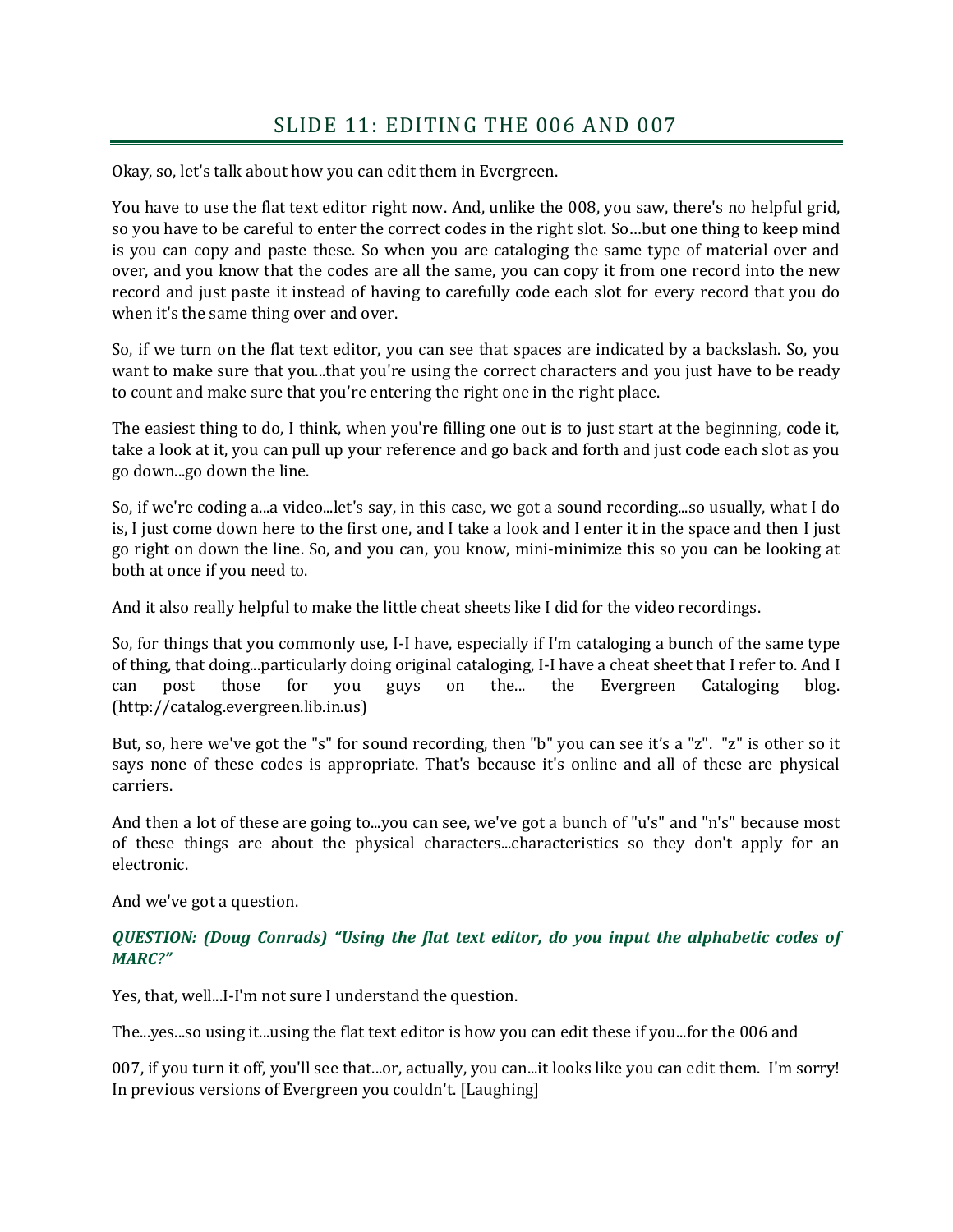### SLIDE 11: EDITING THE 006 AND 007

<span id="page-10-0"></span>Okay, so, let's talk about how you can edit them in Evergreen.

You have to use the flat text editor right now. And, unlike the 008, you saw, there's no helpful grid, so you have to be careful to enter the correct codes in the right slot. So…but one thing to keep mind is you can copy and paste these. So when you are cataloging the same type of material over and over, and you know that the codes are all the same, you can copy it from one record into the new record and just paste it instead of having to carefully code each slot for every record that you do when it's the same thing over and over.

So, if we turn on the flat text editor, you can see that spaces are indicated by a backslash. So, you want to make sure that you...that you're using the correct characters and you just have to be ready to count and make sure that you're entering the right one in the right place.

The easiest thing to do, I think, when you're filling one out is to just start at the beginning, code it, take a look at it, you can pull up your reference and go back and forth and just code each slot as you go down...go down the line.

So, if we're coding a...a video...let's say, in this case, we got a sound recording...so usually, what I do is, I just come down here to the first one, and I take a look and I enter it in the space and then I just go right on down the line. So, and you can, you know, mini-minimize this so you can be looking at both at once if you need to.

And it also really helpful to make the little cheat sheets like I did for the video recordings.

So, for things that you commonly use, I-I have, especially if I'm cataloging a bunch of the same type of thing, that doing...particularly doing original cataloging, I-I have a cheat sheet that I refer to. And I can post those for you guys on the... the Evergreen Cataloging blog. (http://catalog.evergreen.lib.in.us)

But, so, here we've got the "s" for sound recording, then "b" you can see it's a "z". "z" is other so it says none of these codes is appropriate. That's because it's online and all of these are physical carriers.

And then a lot of these are going to...you can see, we've got a bunch of "u's" and "n's" because most of these things are about the physical characters...characteristics so they don't apply for an electronic.

And we've got a question.

#### *QUESTION: (Doug Conrads) "Using the flat text editor, do you input the alphabetic codes of MARC?"*

Yes, that, well...I-I'm not sure I understand the question.

The...yes...so using it...using the flat text editor is how you can edit these if you...for the 006 and

007, if you turn it off, you'll see that...or, actually, you can...it looks like you can edit them. I'm sorry! In previous versions of Evergreen you couldn't. [Laughing]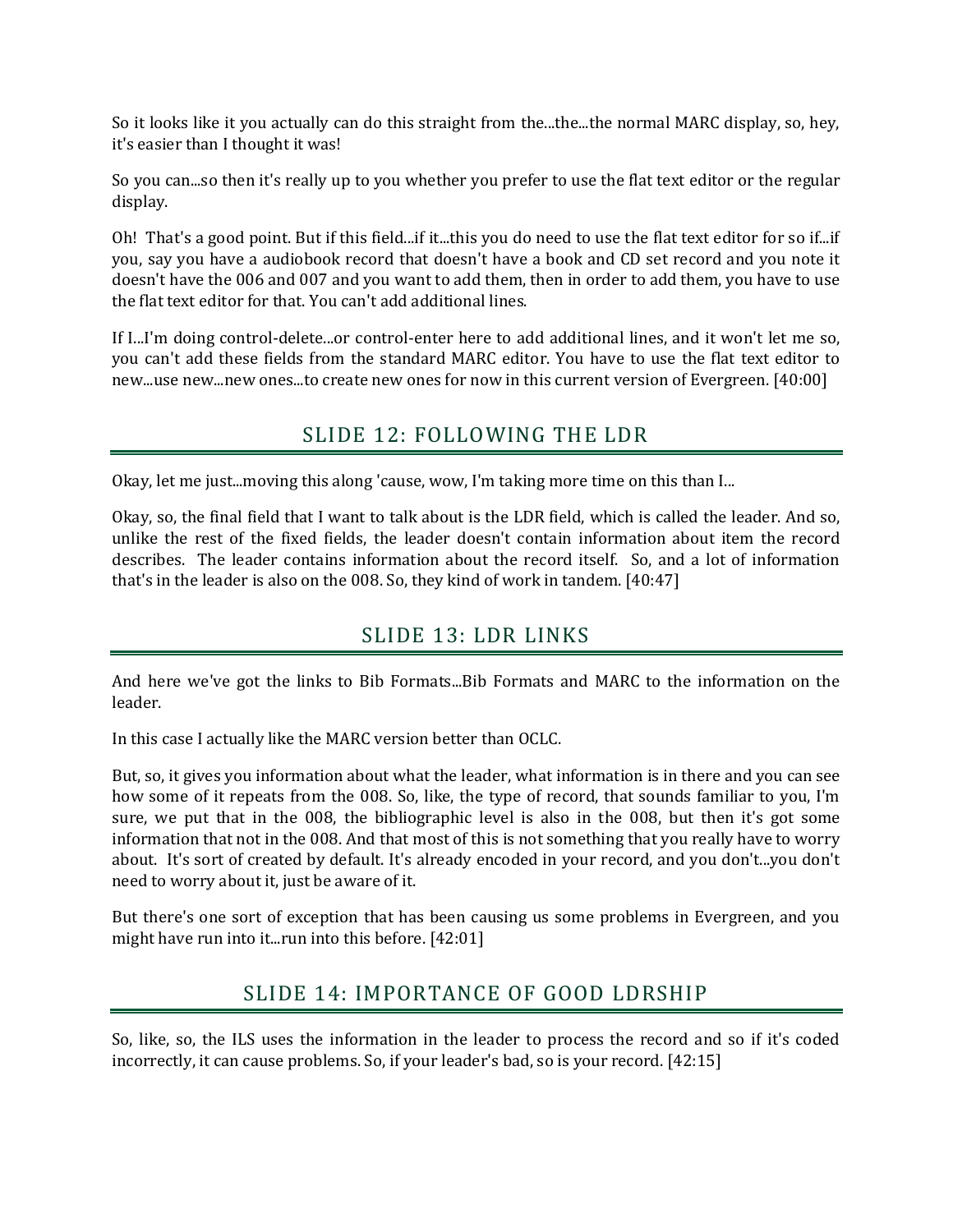So it looks like it you actually can do this straight from the...the...the normal MARC display, so, hey, it's easier than I thought it was!

So you can...so then it's really up to you whether you prefer to use the flat text editor or the regular display.

Oh! That's a good point. But if this field...if it...this you do need to use the flat text editor for so if...if you, say you have a audiobook record that doesn't have a book and CD set record and you note it doesn't have the 006 and 007 and you want to add them, then in order to add them, you have to use the flat text editor for that. You can't add additional lines.

If I...I'm doing control-delete...or control-enter here to add additional lines, and it won't let me so, you can't add these fields from the standard MARC editor. You have to use the flat text editor to new...use new...new ones...to create new ones for now in this current version of Evergreen. [40:00]

# SLIDE 12: FOLLOWING THE LDR

<span id="page-11-0"></span>Okay, let me just...moving this along 'cause, wow, I'm taking more time on this than I...

Okay, so, the final field that I want to talk about is the LDR field, which is called the leader. And so, unlike the rest of the fixed fields, the leader doesn't contain information about item the record describes. The leader contains information about the record itself. So, and a lot of information that's in the leader is also on the 008. So, they kind of work in tandem. [40:47]

# SLIDE 13: LDR LINKS

<span id="page-11-1"></span>And here we've got the links to Bib Formats...Bib Formats and MARC to the information on the leader.

In this case I actually like the MARC version better than OCLC.

But, so, it gives you information about what the leader, what information is in there and you can see how some of it repeats from the 008. So, like, the type of record, that sounds familiar to you, I'm sure, we put that in the 008, the bibliographic level is also in the 008, but then it's got some information that not in the 008. And that most of this is not something that you really have to worry about. It's sort of created by default. It's already encoded in your record, and you don't...you don't need to worry about it, just be aware of it.

<span id="page-11-2"></span>But there's one sort of exception that has been causing us some problems in Evergreen, and you might have run into it...run into this before. [42:01]

# SLIDE 14: IMPORTANCE OF GOOD LDRSHIP

So, like, so, the ILS uses the information in the leader to process the record and so if it's coded incorrectly, it can cause problems. So, if your leader's bad, so is your record. [42:15]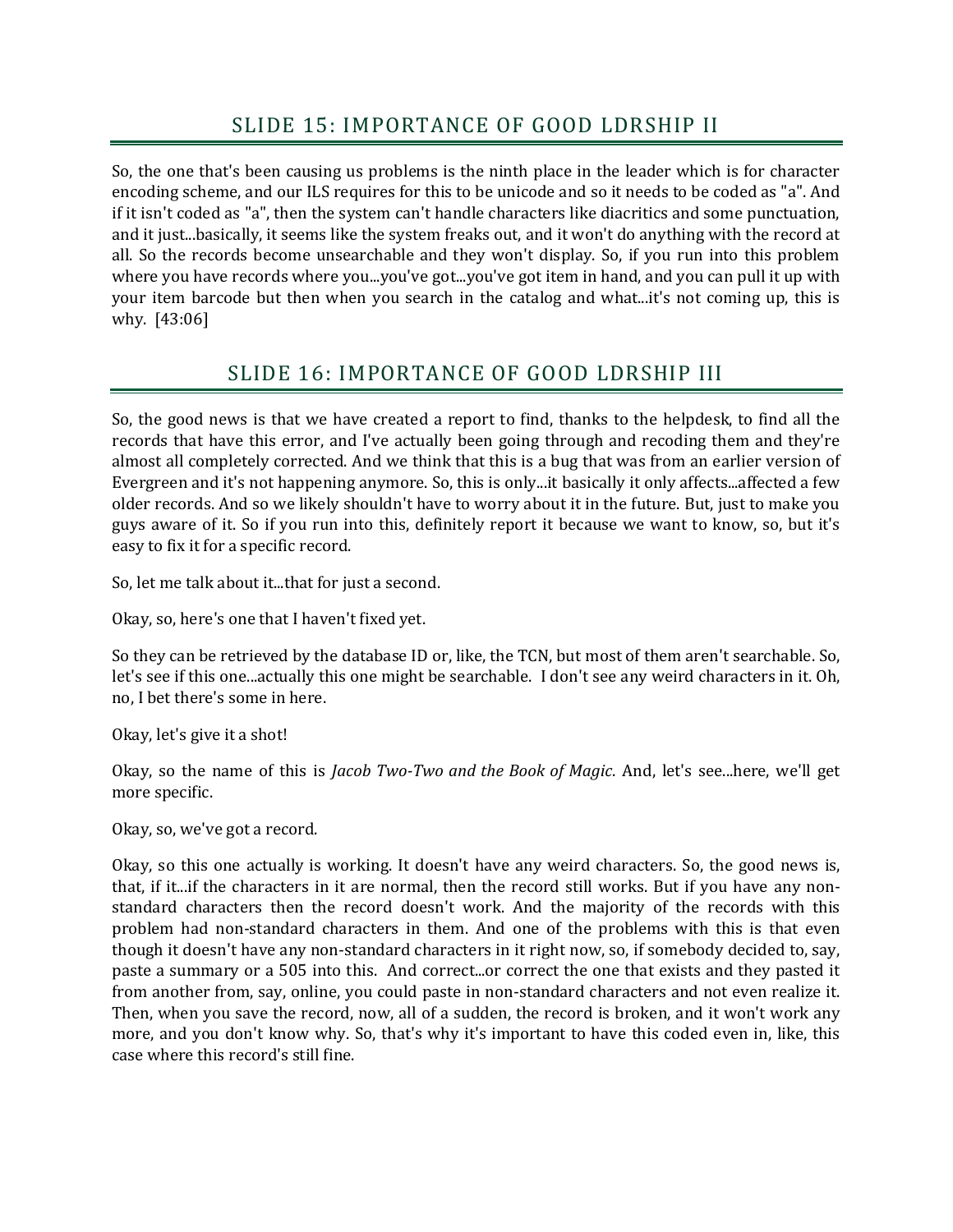<span id="page-12-0"></span>So, the one that's been causing us problems is the ninth place in the leader which is for character encoding scheme, and our ILS requires for this to be unicode and so it needs to be coded as "a". And if it isn't coded as "a", then the system can't handle characters like diacritics and some punctuation, and it just...basically, it seems like the system freaks out, and it won't do anything with the record at all. So the records become unsearchable and they won't display. So, if you run into this problem where you have records where you...you've got...you've got item in hand, and you can pull it up with your item barcode but then when you search in the catalog and what...it's not coming up, this is why. [43:06]

# SLIDE 16: IMPORTANCE OF GOOD LDRSHIP III

<span id="page-12-1"></span>So, the good news is that we have created a report to find, thanks to the helpdesk, to find all the records that have this error, and I've actually been going through and recoding them and they're almost all completely corrected. And we think that this is a bug that was from an earlier version of Evergreen and it's not happening anymore. So, this is only...it basically it only affects...affected a few older records. And so we likely shouldn't have to worry about it in the future. But, just to make you guys aware of it. So if you run into this, definitely report it because we want to know, so, but it's easy to fix it for a specific record.

So, let me talk about it...that for just a second.

Okay, so, here's one that I haven't fixed yet.

So they can be retrieved by the database ID or, like, the TCN, but most of them aren't searchable. So, let's see if this one...actually this one might be searchable. I don't see any weird characters in it. Oh, no, I bet there's some in here.

Okay, let's give it a shot!

Okay, so the name of this is *Jacob Two-Two and the Book of Magic*. And, let's see...here, we'll get more specific.

Okay, so, we've got a record.

Okay, so this one actually is working. It doesn't have any weird characters. So, the good news is, that, if it...if the characters in it are normal, then the record still works. But if you have any nonstandard characters then the record doesn't work. And the majority of the records with this problem had non-standard characters in them. And one of the problems with this is that even though it doesn't have any non-standard characters in it right now, so, if somebody decided to, say, paste a summary or a 505 into this. And correct...or correct the one that exists and they pasted it from another from, say, online, you could paste in non-standard characters and not even realize it. Then, when you save the record, now, all of a sudden, the record is broken, and it won't work any more, and you don't know why. So, that's why it's important to have this coded even in, like, this case where this record's still fine.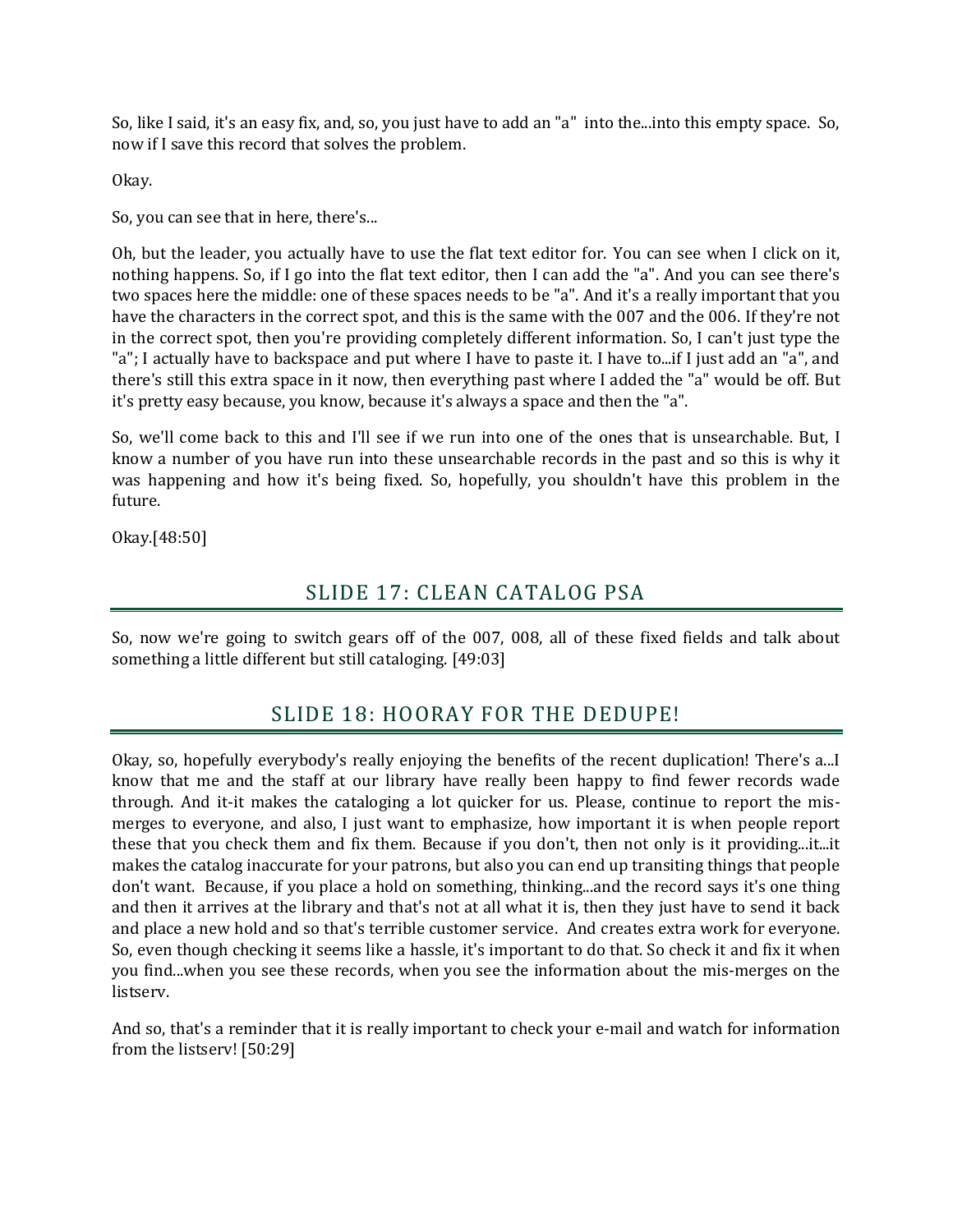So, like I said, it's an easy fix, and, so, you just have to add an "a" into the...into this empty space. So, now if I save this record that solves the problem.

Okay.

So, you can see that in here, there's...

Oh, but the leader, you actually have to use the flat text editor for. You can see when I click on it, nothing happens. So, if I go into the flat text editor, then I can add the "a". And you can see there's two spaces here the middle: one of these spaces needs to be "a". And it's a really important that you have the characters in the correct spot, and this is the same with the 007 and the 006. If they're not in the correct spot, then you're providing completely different information. So, I can't just type the "a"; I actually have to backspace and put where I have to paste it. I have to...if I just add an "a", and there's still this extra space in it now, then everything past where I added the "a" would be off. But it's pretty easy because, you know, because it's always a space and then the "a".

So, we'll come back to this and I'll see if we run into one of the ones that is unsearchable. But, I know a number of you have run into these unsearchable records in the past and so this is why it was happening and how it's being fixed. So, hopefully, you shouldn't have this problem in the future.

<span id="page-13-0"></span>Okay.[48:50]

# SLIDE 17: CLEAN CATALOG PSA

<span id="page-13-1"></span>So, now we're going to switch gears off of the 007, 008, all of these fixed fields and talk about something a little different but still cataloging. [49:03]

### SLIDE 18: HOORAY FOR THE DEDUPE!

Okay, so, hopefully everybody's really enjoying the benefits of the recent duplication! There's a...I know that me and the staff at our library have really been happy to find fewer records wade through. And it-it makes the cataloging a lot quicker for us. Please, continue to report the mismerges to everyone, and also, I just want to emphasize, how important it is when people report these that you check them and fix them. Because if you don't, then not only is it providing...it...it makes the catalog inaccurate for your patrons, but also you can end up transiting things that people don't want. Because, if you place a hold on something, thinking...and the record says it's one thing and then it arrives at the library and that's not at all what it is, then they just have to send it back and place a new hold and so that's terrible customer service. And creates extra work for everyone. So, even though checking it seems like a hassle, it's important to do that. So check it and fix it when you find...when you see these records, when you see the information about the mis-merges on the listserv.

And so, that's a reminder that it is really important to check your e-mail and watch for information from the listserv! [50:29]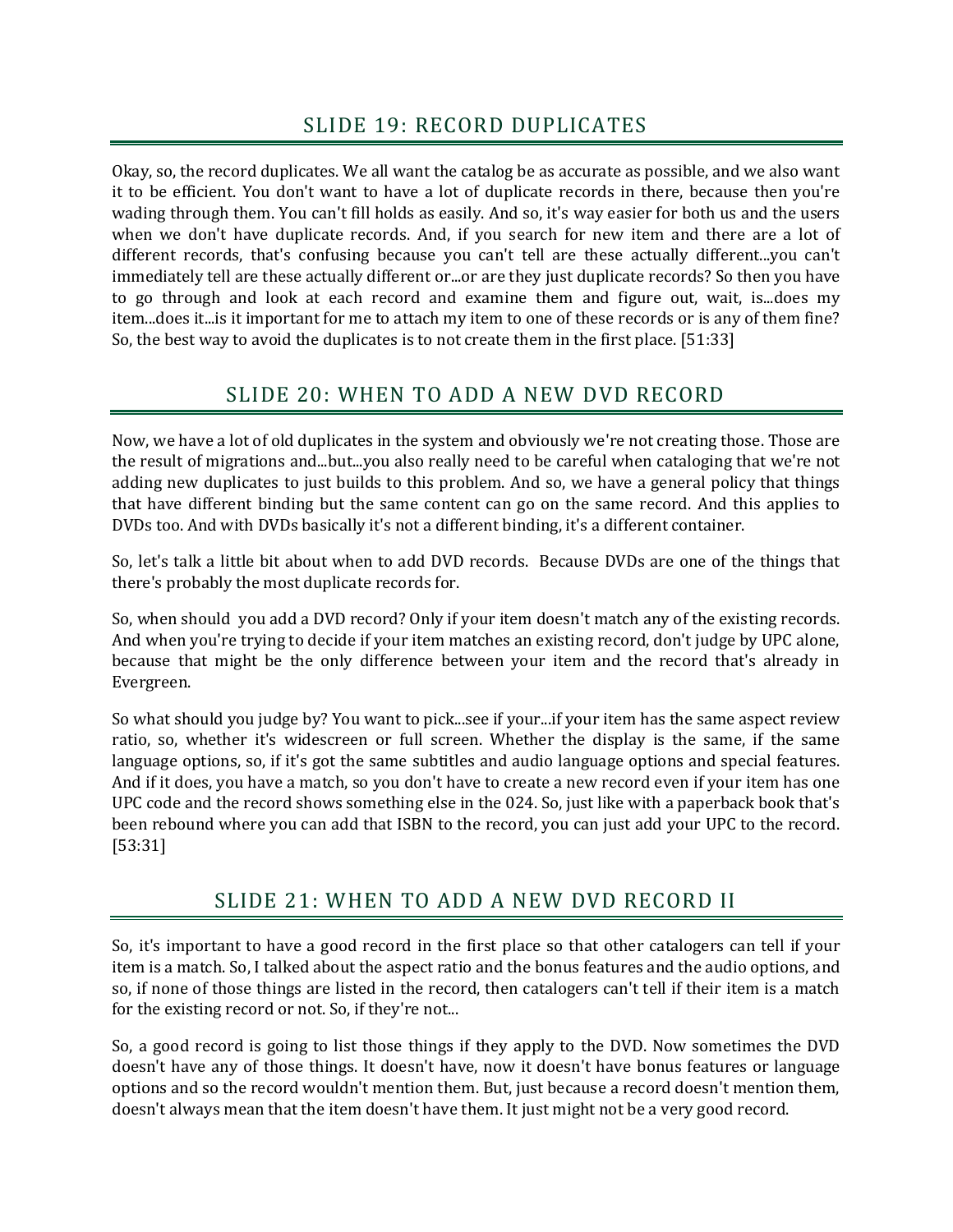<span id="page-14-0"></span>Okay, so, the record duplicates. We all want the catalog be as accurate as possible, and we also want it to be efficient. You don't want to have a lot of duplicate records in there, because then you're wading through them. You can't fill holds as easily. And so, it's way easier for both us and the users when we don't have duplicate records. And, if you search for new item and there are a lot of different records, that's confusing because you can't tell are these actually different...you can't immediately tell are these actually different or...or are they just duplicate records? So then you have to go through and look at each record and examine them and figure out, wait, is...does my item...does it...is it important for me to attach my item to one of these records or is any of them fine? So, the best way to avoid the duplicates is to not create them in the first place. [51:33]

# SLIDE 20: WHEN TO ADD A NEW DVD RECORD

<span id="page-14-1"></span>Now, we have a lot of old duplicates in the system and obviously we're not creating those. Those are the result of migrations and...but...you also really need to be careful when cataloging that we're not adding new duplicates to just builds to this problem. And so, we have a general policy that things that have different binding but the same content can go on the same record. And this applies to DVDs too. And with DVDs basically it's not a different binding, it's a different container.

So, let's talk a little bit about when to add DVD records. Because DVDs are one of the things that there's probably the most duplicate records for.

So, when should you add a DVD record? Only if your item doesn't match any of the existing records. And when you're trying to decide if your item matches an existing record, don't judge by UPC alone, because that might be the only difference between your item and the record that's already in Evergreen.

So what should you judge by? You want to pick...see if your...if your item has the same aspect review ratio, so, whether it's widescreen or full screen. Whether the display is the same, if the same language options, so, if it's got the same subtitles and audio language options and special features. And if it does, you have a match, so you don't have to create a new record even if your item has one UPC code and the record shows something else in the 024. So, just like with a paperback book that's been rebound where you can add that ISBN to the record, you can just add your UPC to the record. [53:31]

# SLIDE 21: WHEN TO ADD A NEW DVD RECORD II

<span id="page-14-2"></span>So, it's important to have a good record in the first place so that other catalogers can tell if your item is a match. So, I talked about the aspect ratio and the bonus features and the audio options, and so, if none of those things are listed in the record, then catalogers can't tell if their item is a match for the existing record or not. So, if they're not...

So, a good record is going to list those things if they apply to the DVD. Now sometimes the DVD doesn't have any of those things. It doesn't have, now it doesn't have bonus features or language options and so the record wouldn't mention them. But, just because a record doesn't mention them, doesn't always mean that the item doesn't have them. It just might not be a very good record.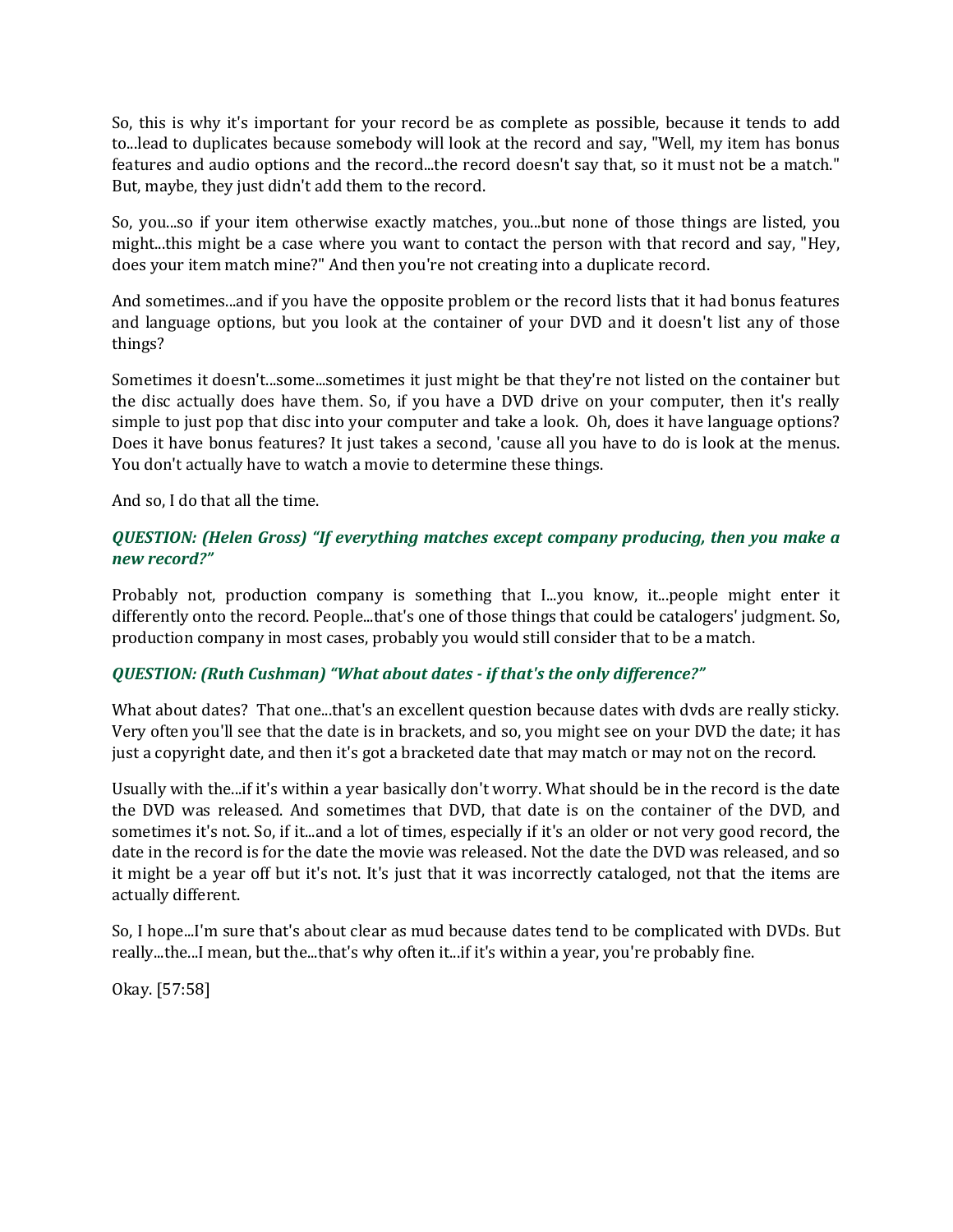So, this is why it's important for your record be as complete as possible, because it tends to add to...lead to duplicates because somebody will look at the record and say, "Well, my item has bonus features and audio options and the record...the record doesn't say that, so it must not be a match." But, maybe, they just didn't add them to the record.

So, you...so if your item otherwise exactly matches, you...but none of those things are listed, you might...this might be a case where you want to contact the person with that record and say, "Hey, does your item match mine?" And then you're not creating into a duplicate record.

And sometimes...and if you have the opposite problem or the record lists that it had bonus features and language options, but you look at the container of your DVD and it doesn't list any of those things?

Sometimes it doesn't...some...sometimes it just might be that they're not listed on the container but the disc actually does have them. So, if you have a DVD drive on your computer, then it's really simple to just pop that disc into your computer and take a look. Oh, does it have language options? Does it have bonus features? It just takes a second, 'cause all you have to do is look at the menus. You don't actually have to watch a movie to determine these things.

And so, I do that all the time.

#### *QUESTION: (Helen Gross) "If everything matches except company producing, then you make a new record?"*

Probably not, production company is something that I...you know, it...people might enter it differently onto the record. People...that's one of those things that could be catalogers' judgment. So, production company in most cases, probably you would still consider that to be a match.

#### *QUESTION: (Ruth Cushman) "What about dates - if that's the only difference?"*

What about dates? That one...that's an excellent question because dates with dvds are really sticky. Very often you'll see that the date is in brackets, and so, you might see on your DVD the date; it has just a copyright date, and then it's got a bracketed date that may match or may not on the record.

Usually with the...if it's within a year basically don't worry. What should be in the record is the date the DVD was released. And sometimes that DVD, that date is on the container of the DVD, and sometimes it's not. So, if it...and a lot of times, especially if it's an older or not very good record, the date in the record is for the date the movie was released. Not the date the DVD was released, and so it might be a year off but it's not. It's just that it was incorrectly cataloged, not that the items are actually different.

So, I hope...I'm sure that's about clear as mud because dates tend to be complicated with DVDs. But really...the...I mean, but the...that's why often it...if it's within a year, you're probably fine.

Okay. [57:58]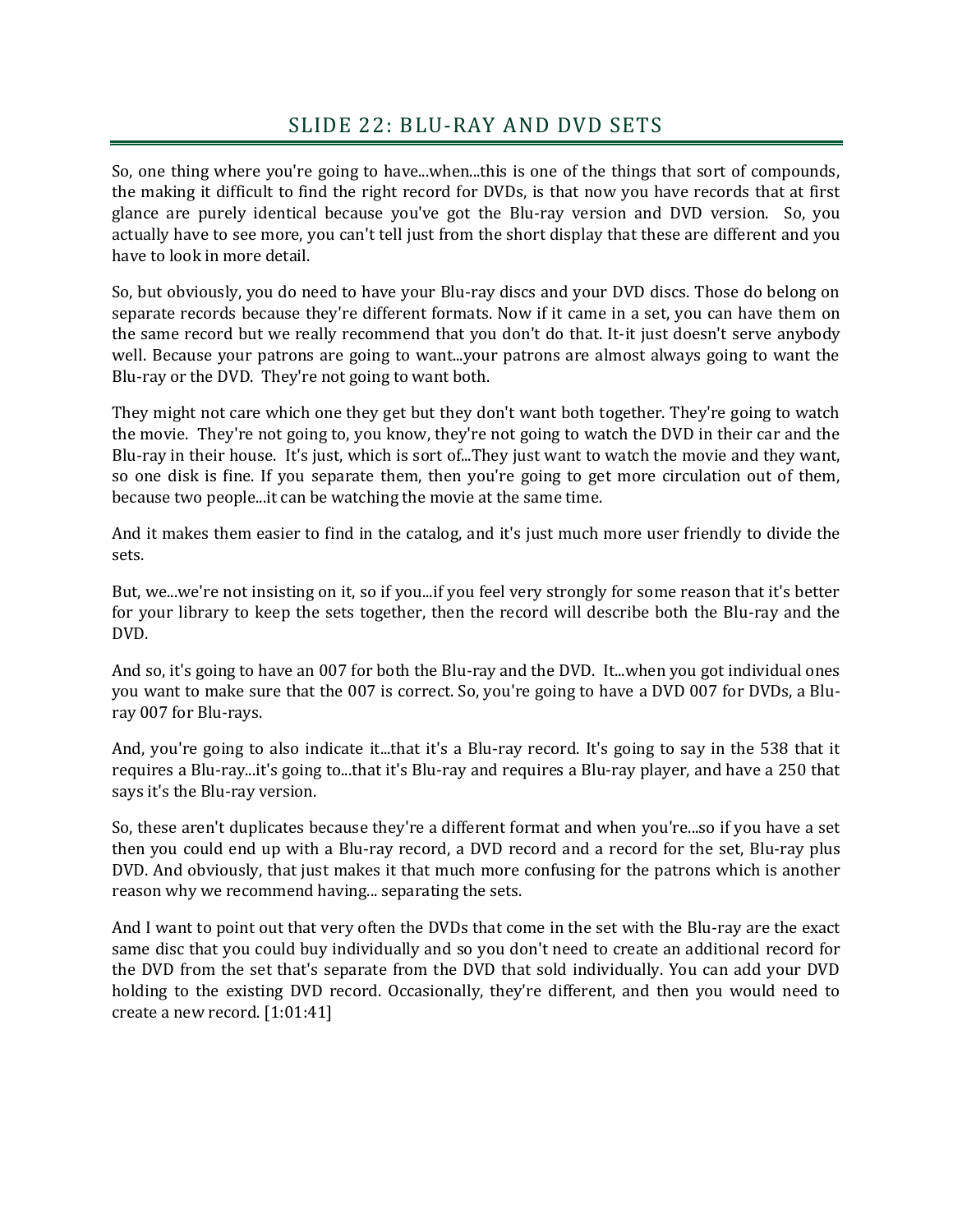<span id="page-16-0"></span>So, one thing where you're going to have...when...this is one of the things that sort of compounds, the making it difficult to find the right record for DVDs, is that now you have records that at first glance are purely identical because you've got the Blu-ray version and DVD version. So, you actually have to see more, you can't tell just from the short display that these are different and you have to look in more detail.

So, but obviously, you do need to have your Blu-ray discs and your DVD discs. Those do belong on separate records because they're different formats. Now if it came in a set, you can have them on the same record but we really recommend that you don't do that. It-it just doesn't serve anybody well. Because your patrons are going to want...your patrons are almost always going to want the Blu-ray or the DVD. They're not going to want both.

They might not care which one they get but they don't want both together. They're going to watch the movie. They're not going to, you know, they're not going to watch the DVD in their car and the Blu-ray in their house. It's just, which is sort of...They just want to watch the movie and they want, so one disk is fine. If you separate them, then you're going to get more circulation out of them, because two people...it can be watching the movie at the same time.

And it makes them easier to find in the catalog, and it's just much more user friendly to divide the sets.

But, we...we're not insisting on it, so if you...if you feel very strongly for some reason that it's better for your library to keep the sets together, then the record will describe both the Blu-ray and the DVD.

And so, it's going to have an 007 for both the Blu-ray and the DVD. It...when you got individual ones you want to make sure that the 007 is correct. So, you're going to have a DVD 007 for DVDs, a Bluray 007 for Blu-rays.

And, you're going to also indicate it...that it's a Blu-ray record. It's going to say in the 538 that it requires a Blu-ray...it's going to...that it's Blu-ray and requires a Blu-ray player, and have a 250 that says it's the Blu-ray version.

So, these aren't duplicates because they're a different format and when you're...so if you have a set then you could end up with a Blu-ray record, a DVD record and a record for the set, Blu-ray plus DVD. And obviously, that just makes it that much more confusing for the patrons which is another reason why we recommend having... separating the sets.

And I want to point out that very often the DVDs that come in the set with the Blu-ray are the exact same disc that you could buy individually and so you don't need to create an additional record for the DVD from the set that's separate from the DVD that sold individually. You can add your DVD holding to the existing DVD record. Occasionally, they're different, and then you would need to create a new record. [1:01:41]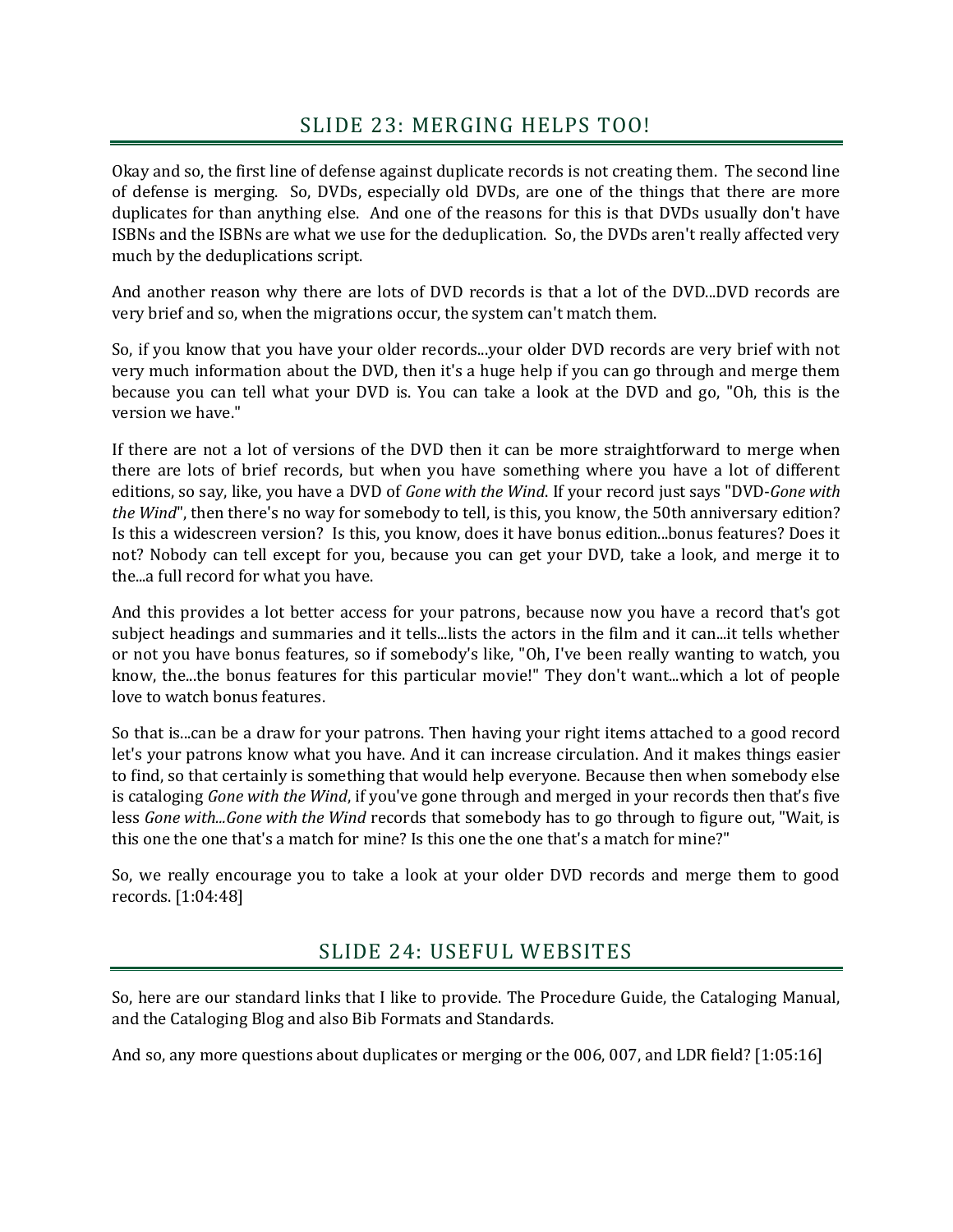<span id="page-17-0"></span>Okay and so, the first line of defense against duplicate records is not creating them. The second line of defense is merging. So, DVDs, especially old DVDs, are one of the things that there are more duplicates for than anything else. And one of the reasons for this is that DVDs usually don't have ISBNs and the ISBNs are what we use for the deduplication. So, the DVDs aren't really affected very much by the deduplications script.

And another reason why there are lots of DVD records is that a lot of the DVD...DVD records are very brief and so, when the migrations occur, the system can't match them.

So, if you know that you have your older records...your older DVD records are very brief with not very much information about the DVD, then it's a huge help if you can go through and merge them because you can tell what your DVD is. You can take a look at the DVD and go, "Oh, this is the version we have."

If there are not a lot of versions of the DVD then it can be more straightforward to merge when there are lots of brief records, but when you have something where you have a lot of different editions, so say, like, you have a DVD of *Gone with the Wind*. If your record just says "DVD-*Gone with the Wind*", then there's no way for somebody to tell, is this, you know, the 50th anniversary edition? Is this a widescreen version? Is this, you know, does it have bonus edition...bonus features? Does it not? Nobody can tell except for you, because you can get your DVD, take a look, and merge it to the...a full record for what you have.

And this provides a lot better access for your patrons, because now you have a record that's got subject headings and summaries and it tells...lists the actors in the film and it can...it tells whether or not you have bonus features, so if somebody's like, "Oh, I've been really wanting to watch, you know, the...the bonus features for this particular movie!" They don't want...which a lot of people love to watch bonus features.

So that is...can be a draw for your patrons. Then having your right items attached to a good record let's your patrons know what you have. And it can increase circulation. And it makes things easier to find, so that certainly is something that would help everyone. Because then when somebody else is cataloging *Gone with the Wind*, if you've gone through and merged in your records then that's five less *Gone with...Gone with the Wind* records that somebody has to go through to figure out, "Wait, is this one the one that's a match for mine? Is this one the one that's a match for mine?"

<span id="page-17-1"></span>So, we really encourage you to take a look at your older DVD records and merge them to good records. [1:04:48]

# SLIDE 24: USEFUL WEBSITES

So, here are our standard links that I like to provide. The Procedure Guide, the Cataloging Manual, and the Cataloging Blog and also Bib Formats and Standards.

And so, any more questions about duplicates or merging or the 006, 007, and LDR field? [1:05:16]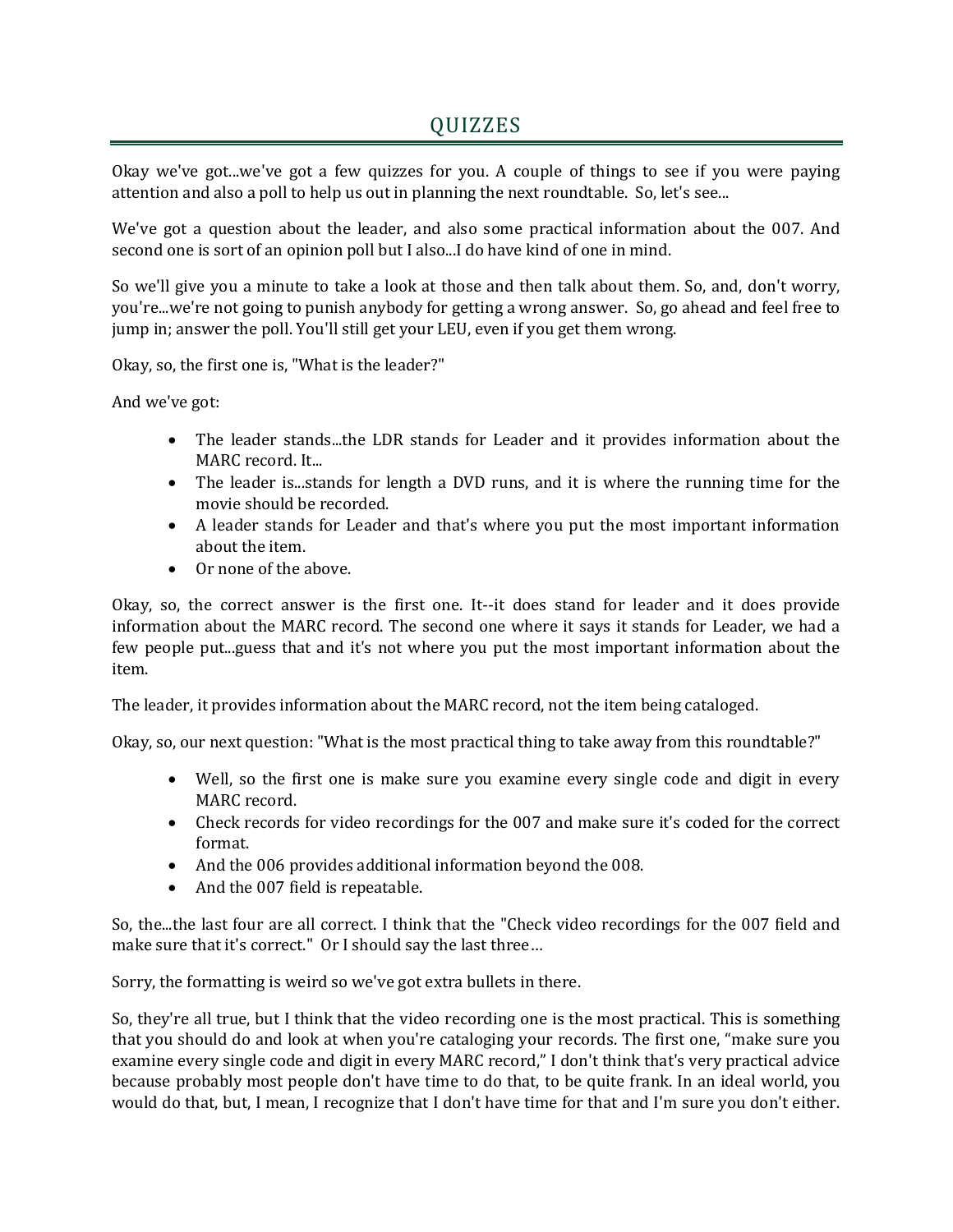<span id="page-18-0"></span>Okay we've got...we've got a few quizzes for you. A couple of things to see if you were paying attention and also a poll to help us out in planning the next roundtable. So, let's see...

We've got a question about the leader, and also some practical information about the 007. And second one is sort of an opinion poll but I also...I do have kind of one in mind.

So we'll give you a minute to take a look at those and then talk about them. So, and, don't worry, you're...we're not going to punish anybody for getting a wrong answer. So, go ahead and feel free to jump in; answer the poll. You'll still get your LEU, even if you get them wrong.

Okay, so, the first one is, "What is the leader?"

And we've got:

- The leader stands...the LDR stands for Leader and it provides information about the MARC record. It...
- The leader is ... stands for length a DVD runs, and it is where the running time for the movie should be recorded.
- A leader stands for Leader and that's where you put the most important information about the item.
- Or none of the above.

Okay, so, the correct answer is the first one. It--it does stand for leader and it does provide information about the MARC record. The second one where it says it stands for Leader, we had a few people put...guess that and it's not where you put the most important information about the item.

The leader, it provides information about the MARC record, not the item being cataloged.

Okay, so, our next question: "What is the most practical thing to take away from this roundtable?"

- Well, so the first one is make sure you examine every single code and digit in every MARC record.
- Check records for video recordings for the 007 and make sure it's coded for the correct format.
- And the 006 provides additional information beyond the 008.
- And the 007 field is repeatable.

So, the...the last four are all correct. I think that the "Check video recordings for the 007 field and make sure that it's correct." Or I should say the last three…

Sorry, the formatting is weird so we've got extra bullets in there.

So, they're all true, but I think that the video recording one is the most practical. This is something that you should do and look at when you're cataloging your records. The first one, "make sure you examine every single code and digit in every MARC record," I don't think that's very practical advice because probably most people don't have time to do that, to be quite frank. In an ideal world, you would do that, but, I mean, I recognize that I don't have time for that and I'm sure you don't either.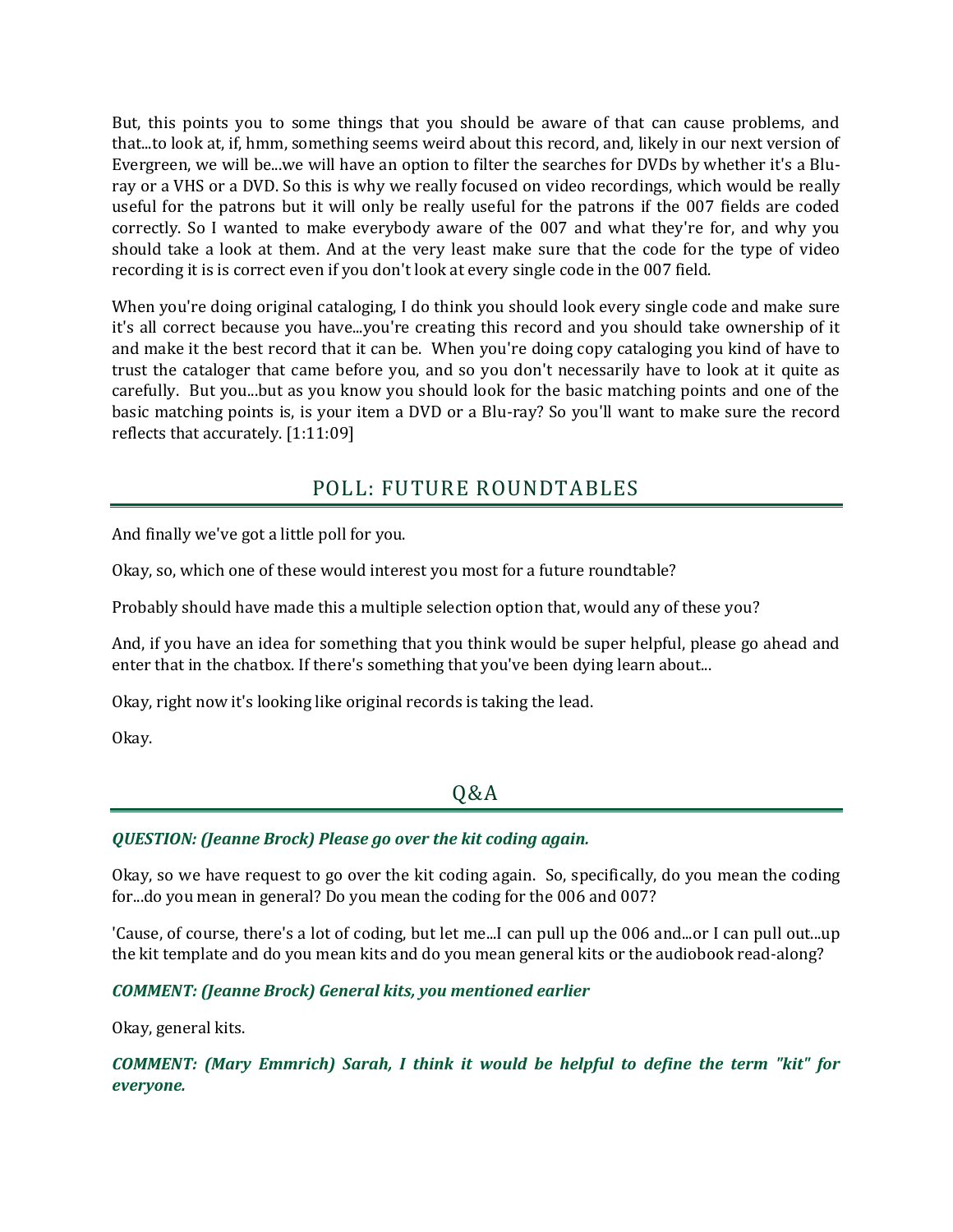But, this points you to some things that you should be aware of that can cause problems, and that...to look at, if, hmm, something seems weird about this record, and, likely in our next version of Evergreen, we will be...we will have an option to filter the searches for DVDs by whether it's a Bluray or a VHS or a DVD. So this is why we really focused on video recordings, which would be really useful for the patrons but it will only be really useful for the patrons if the 007 fields are coded correctly. So I wanted to make everybody aware of the 007 and what they're for, and why you should take a look at them. And at the very least make sure that the code for the type of video recording it is is correct even if you don't look at every single code in the 007 field.

When you're doing original cataloging, I do think you should look every single code and make sure it's all correct because you have...you're creating this record and you should take ownership of it and make it the best record that it can be. When you're doing copy cataloging you kind of have to trust the cataloger that came before you, and so you don't necessarily have to look at it quite as carefully. But you...but as you know you should look for the basic matching points and one of the basic matching points is, is your item a DVD or a Blu-ray? So you'll want to make sure the record reflects that accurately. [1:11:09]

# POLL: FUTURE ROUNDTABLES

<span id="page-19-0"></span>And finally we've got a little poll for you.

Okay, so, which one of these would interest you most for a future roundtable?

Probably should have made this a multiple selection option that, would any of these you?

And, if you have an idea for something that you think would be super helpful, please go ahead and enter that in the chatbox. If there's something that you've been dying learn about...

Okay, right now it's looking like original records is taking the lead.

<span id="page-19-1"></span>Okay.

### Q&A

#### *QUESTION: (Jeanne Brock) Please go over the kit coding again.*

Okay, so we have request to go over the kit coding again. So, specifically, do you mean the coding for...do you mean in general? Do you mean the coding for the 006 and 007?

'Cause, of course, there's a lot of coding, but let me...I can pull up the 006 and...or I can pull out...up the kit template and do you mean kits and do you mean general kits or the audiobook read-along?

#### *COMMENT: (Jeanne Brock) General kits, you mentioned earlier*

Okay, general kits.

*COMMENT: (Mary Emmrich) Sarah, I think it would be helpful to define the term "kit" for everyone.*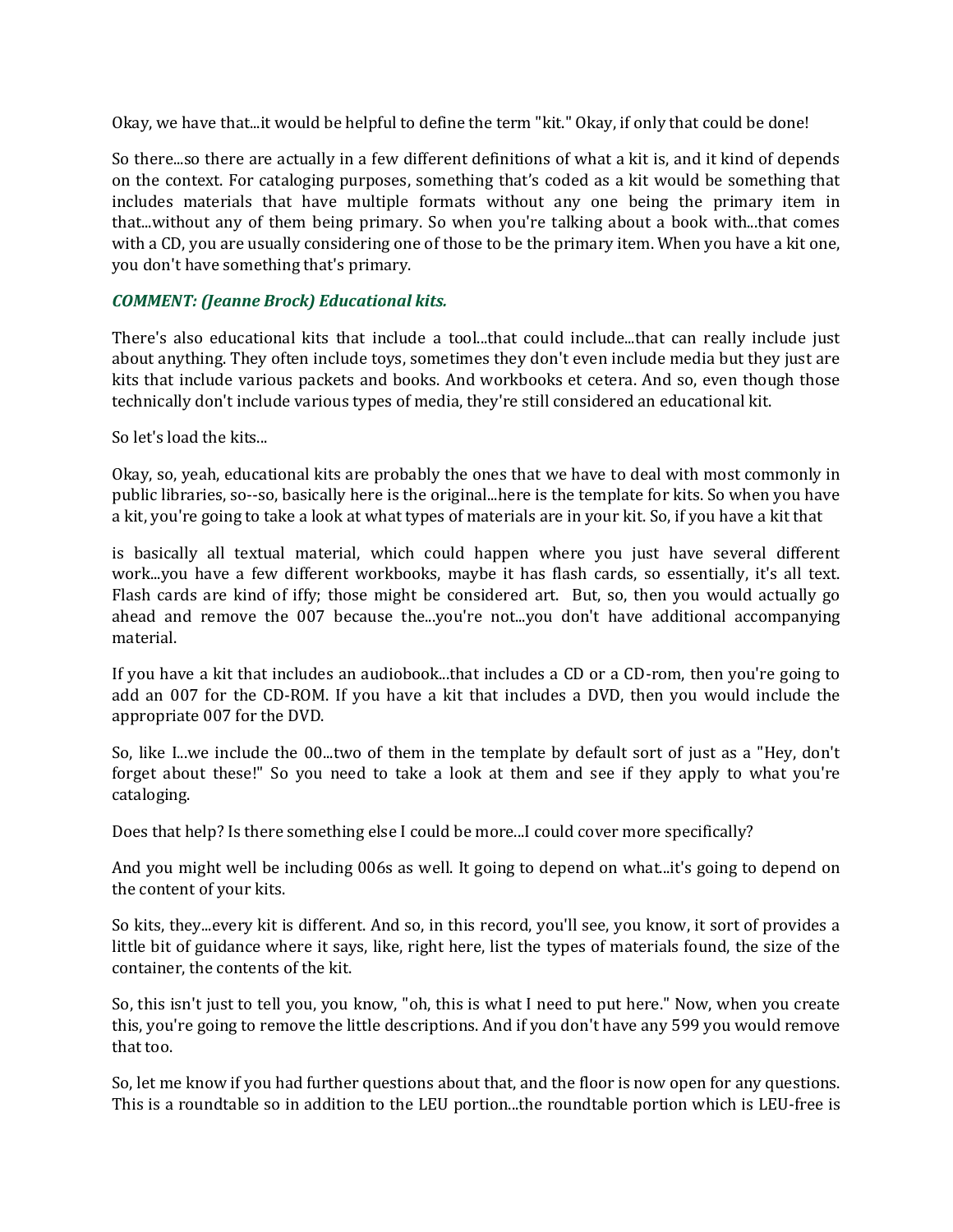Okay, we have that...it would be helpful to define the term "kit." Okay, if only that could be done!

So there...so there are actually in a few different definitions of what a kit is, and it kind of depends on the context. For cataloging purposes, something that's coded as a kit would be something that includes materials that have multiple formats without any one being the primary item in that...without any of them being primary. So when you're talking about a book with...that comes with a CD, you are usually considering one of those to be the primary item. When you have a kit one, you don't have something that's primary.

#### *COMMENT: (Jeanne Brock) Educational kits.*

There's also educational kits that include a tool...that could include...that can really include just about anything. They often include toys, sometimes they don't even include media but they just are kits that include various packets and books. And workbooks et cetera. And so, even though those technically don't include various types of media, they're still considered an educational kit.

So let's load the kits...

Okay, so, yeah, educational kits are probably the ones that we have to deal with most commonly in public libraries, so--so, basically here is the original...here is the template for kits. So when you have a kit, you're going to take a look at what types of materials are in your kit. So, if you have a kit that

is basically all textual material, which could happen where you just have several different work...you have a few different workbooks, maybe it has flash cards, so essentially, it's all text. Flash cards are kind of iffy; those might be considered art. But, so, then you would actually go ahead and remove the 007 because the...you're not...you don't have additional accompanying material.

If you have a kit that includes an audiobook...that includes a CD or a CD-rom, then you're going to add an 007 for the CD-ROM. If you have a kit that includes a DVD, then you would include the appropriate 007 for the DVD.

So, like I...we include the 00...two of them in the template by default sort of just as a "Hey, don't forget about these!" So you need to take a look at them and see if they apply to what you're cataloging.

Does that help? Is there something else I could be more...I could cover more specifically?

And you might well be including 006s as well. It going to depend on what...it's going to depend on the content of your kits.

So kits, they...every kit is different. And so, in this record, you'll see, you know, it sort of provides a little bit of guidance where it says, like, right here, list the types of materials found, the size of the container, the contents of the kit.

So, this isn't just to tell you, you know, "oh, this is what I need to put here." Now, when you create this, you're going to remove the little descriptions. And if you don't have any 599 you would remove that too.

So, let me know if you had further questions about that, and the floor is now open for any questions. This is a roundtable so in addition to the LEU portion...the roundtable portion which is LEU-free is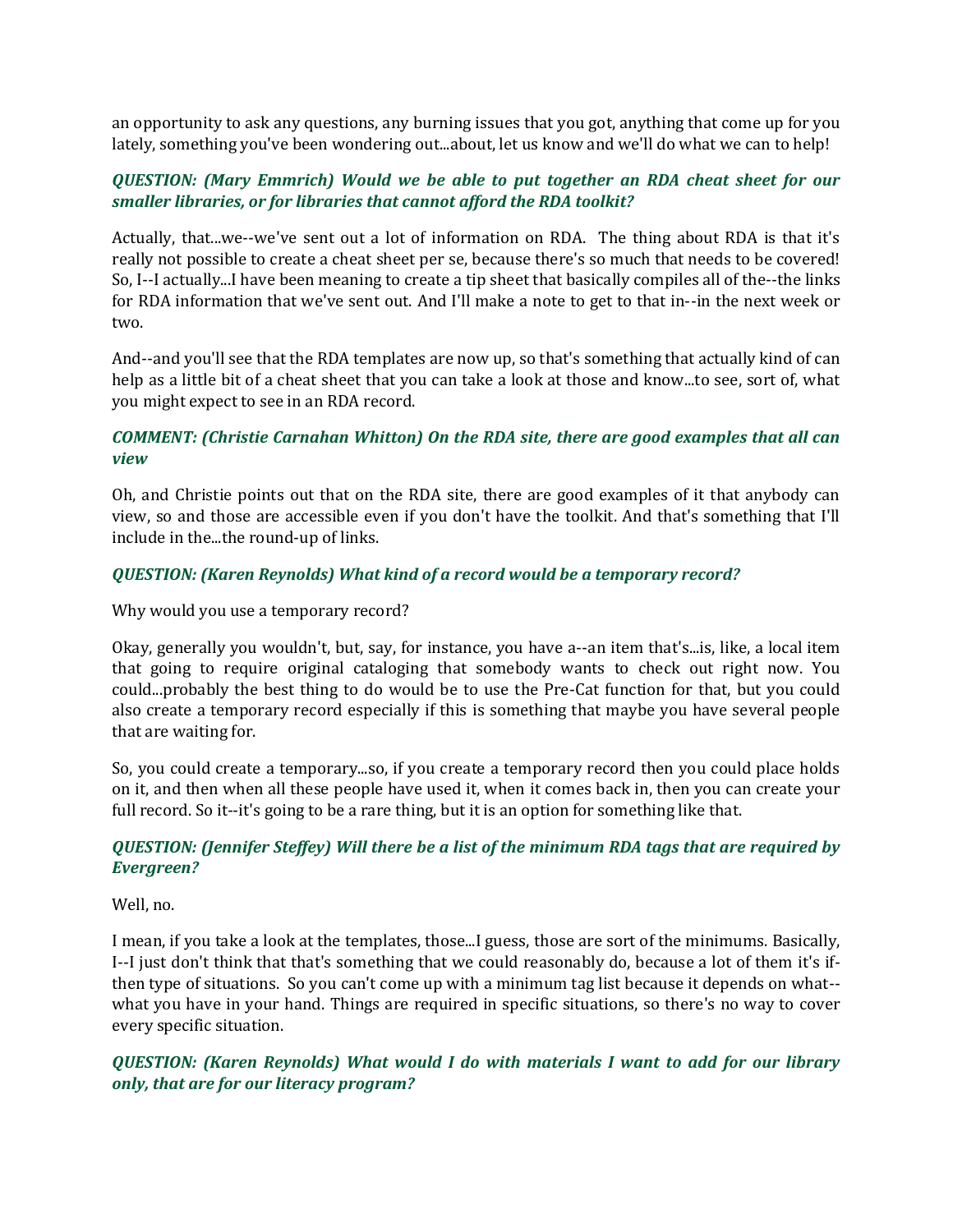an opportunity to ask any questions, any burning issues that you got, anything that come up for you lately, something you've been wondering out...about, let us know and we'll do what we can to help!

### *QUESTION: (Mary Emmrich) Would we be able to put together an RDA cheat sheet for our smaller libraries, or for libraries that cannot afford the RDA toolkit?*

Actually, that...we--we've sent out a lot of information on RDA. The thing about RDA is that it's really not possible to create a cheat sheet per se, because there's so much that needs to be covered! So, I--I actually...I have been meaning to create a tip sheet that basically compiles all of the--the links for RDA information that we've sent out. And I'll make a note to get to that in--in the next week or two.

And--and you'll see that the RDA templates are now up, so that's something that actually kind of can help as a little bit of a cheat sheet that you can take a look at those and know...to see, sort of, what you might expect to see in an RDA record.

### *COMMENT: (Christie Carnahan Whitton) On the RDA site, there are good examples that all can view*

Oh, and Christie points out that on the RDA site, there are good examples of it that anybody can view, so and those are accessible even if you don't have the toolkit. And that's something that I'll include in the...the round-up of links.

#### *QUESTION: (Karen Reynolds) What kind of a record would be a temporary record?*

Why would you use a temporary record?

Okay, generally you wouldn't, but, say, for instance, you have a--an item that's...is, like, a local item that going to require original cataloging that somebody wants to check out right now. You could...probably the best thing to do would be to use the Pre-Cat function for that, but you could also create a temporary record especially if this is something that maybe you have several people that are waiting for.

So, you could create a temporary...so, if you create a temporary record then you could place holds on it, and then when all these people have used it, when it comes back in, then you can create your full record. So it--it's going to be a rare thing, but it is an option for something like that.

### *QUESTION: (Jennifer Steffey) Will there be a list of the minimum RDA tags that are required by Evergreen?*

Well, no.

I mean, if you take a look at the templates, those...I guess, those are sort of the minimums. Basically, I--I just don't think that that's something that we could reasonably do, because a lot of them it's ifthen type of situations. So you can't come up with a minimum tag list because it depends on what- what you have in your hand. Things are required in specific situations, so there's no way to cover every specific situation.

### *QUESTION: (Karen Reynolds) What would I do with materials I want to add for our library only, that are for our literacy program?*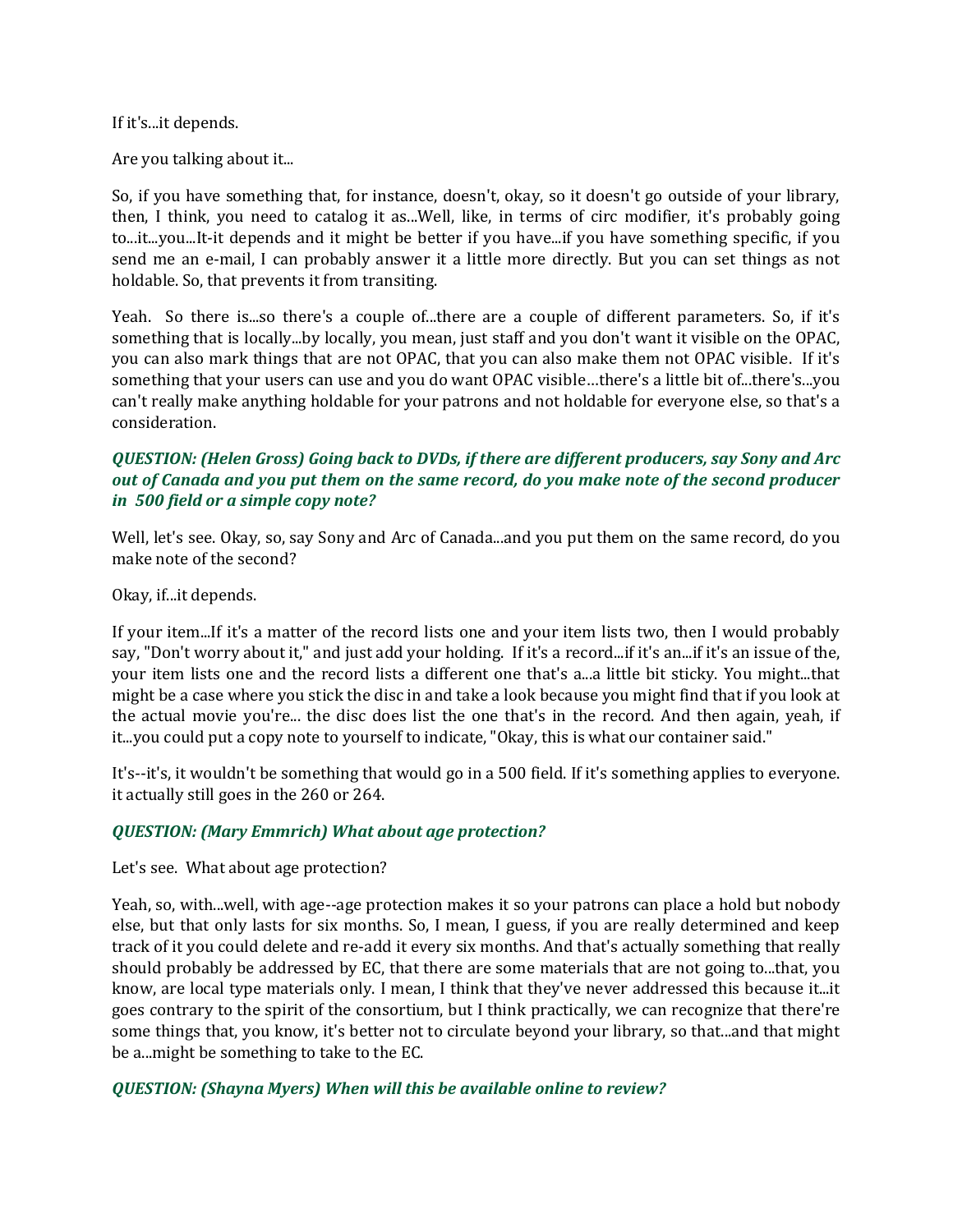If it's...it depends.

Are you talking about it...

So, if you have something that, for instance, doesn't, okay, so it doesn't go outside of your library, then, I think, you need to catalog it as...Well, like, in terms of circ modifier, it's probably going to...it...you...It-it depends and it might be better if you have...if you have something specific, if you send me an e-mail, I can probably answer it a little more directly. But you can set things as not holdable. So, that prevents it from transiting.

Yeah. So there is...so there's a couple of...there are a couple of different parameters. So, if it's something that is locally...by locally, you mean, just staff and you don't want it visible on the OPAC, you can also mark things that are not OPAC, that you can also make them not OPAC visible. If it's something that your users can use and you do want OPAC visible…there's a little bit of...there's...you can't really make anything holdable for your patrons and not holdable for everyone else, so that's a consideration.

### *QUESTION: (Helen Gross) Going back to DVDs, if there are different producers, say Sony and Arc out of Canada and you put them on the same record, do you make note of the second producer in 500 field or a simple copy note?*

Well, let's see. Okay, so, say Sony and Arc of Canada...and you put them on the same record, do you make note of the second?

Okay, if...it depends.

If your item...If it's a matter of the record lists one and your item lists two, then I would probably say, "Don't worry about it," and just add your holding. If it's a record...if it's an...if it's an issue of the, your item lists one and the record lists a different one that's a...a little bit sticky. You might...that might be a case where you stick the disc in and take a look because you might find that if you look at the actual movie you're... the disc does list the one that's in the record. And then again, yeah, if it...you could put a copy note to yourself to indicate, "Okay, this is what our container said."

It's--it's, it wouldn't be something that would go in a 500 field. If it's something applies to everyone. it actually still goes in the 260 or 264.

#### *QUESTION: (Mary Emmrich) What about age protection?*

Let's see. What about age protection?

Yeah, so, with...well, with age--age protection makes it so your patrons can place a hold but nobody else, but that only lasts for six months. So, I mean, I guess, if you are really determined and keep track of it you could delete and re-add it every six months. And that's actually something that really should probably be addressed by EC, that there are some materials that are not going to...that, you know, are local type materials only. I mean, I think that they've never addressed this because it...it goes contrary to the spirit of the consortium, but I think practically, we can recognize that there're some things that, you know, it's better not to circulate beyond your library, so that...and that might be a...might be something to take to the EC.

#### *QUESTION: (Shayna Myers) When will this be available online to review?*